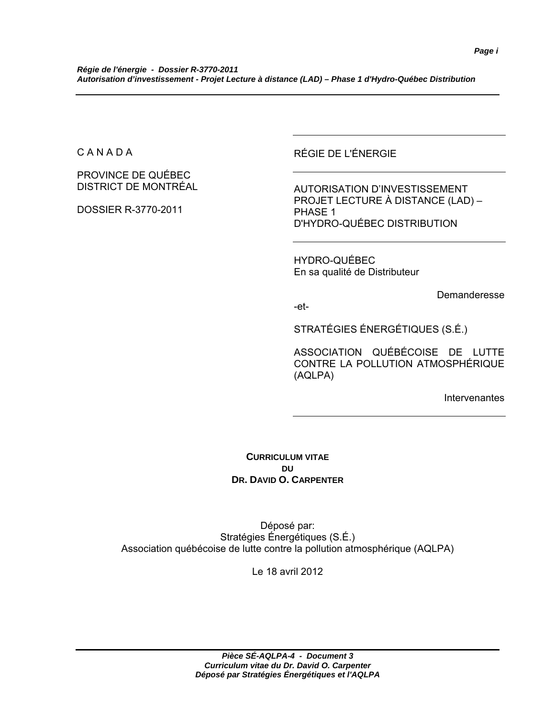C A N A D A

PROVINCE DE QUÉBEC DISTRICT DE MONTRÉAL

DOSSIER R-3770-2011

RÉGIE DE L'ÉNERGIE

AUTORISATION D'INVESTISSEMENT PROJET LECTURE À DISTANCE (LAD) – PHASE 1 D'HYDRO-QUÉBEC DISTRIBUTION

HYDRO-QUÉBEC En sa qualité de Distributeur

Demanderesse

-et-

STRATÉGIES ÉNERGÉTIQUES (S.É.)

ASSOCIATION QUÉBÉCOISE DE LUTTE CONTRE LA POLLUTION ATMOSPHÉRIQUE (AQLPA)

Intervenantes

**CURRICULUM VITAE DU DR. DAVID O. CARPENTER**

Déposé par: Stratégies Énergétiques (S.É.) Association québécoise de lutte contre la pollution atmosphérique (AQLPA)

Le 18 avril 2012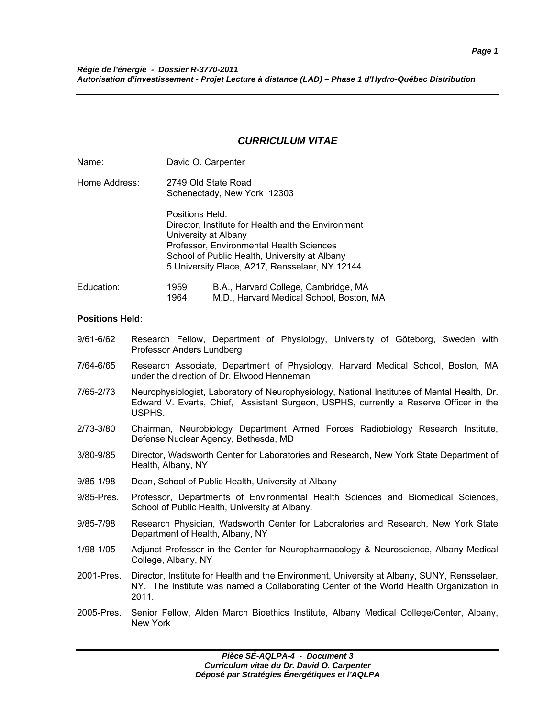### *CURRICULUM VITAE*

| Name:         |                                                    | David O. Carpenter                                                                                                                                                                                                        |
|---------------|----------------------------------------------------|---------------------------------------------------------------------------------------------------------------------------------------------------------------------------------------------------------------------------|
| Home Address: | 2749 Old State Road<br>Schenectady, New York 12303 |                                                                                                                                                                                                                           |
|               | Positions Held:                                    | Director, Institute for Health and the Environment<br>University at Albany<br>Professor, Environmental Health Sciences<br>School of Public Health, University at Albany<br>5 University Place, A217, Rensselaer, NY 12144 |
| Education:    | 1959<br>1964                                       | B.A., Harvard College, Cambridge, MA<br>M.D., Harvard Medical School, Boston, MA                                                                                                                                          |

#### **Positions Held**:

- 9/61-6/62 Research Fellow, Department of Physiology, University of Göteborg, Sweden with Professor Anders Lundberg
- 7/64-6/65 Research Associate, Department of Physiology, Harvard Medical School, Boston, MA under the direction of Dr. Elwood Henneman
- 7/65-2/73 Neurophysiologist, Laboratory of Neurophysiology, National Institutes of Mental Health, Dr. Edward V. Evarts, Chief, Assistant Surgeon, USPHS, currently a Reserve Officer in the USPHS.
- 2/73-3/80 Chairman, Neurobiology Department Armed Forces Radiobiology Research Institute, Defense Nuclear Agency, Bethesda, MD
- 3/80-9/85 Director, Wadsworth Center for Laboratories and Research, New York State Department of Health, Albany, NY
- 9/85-1/98 Dean, School of Public Health, University at Albany
- 9/85-Pres. Professor, Departments of Environmental Health Sciences and Biomedical Sciences, School of Public Health, University at Albany.
- 9/85-7/98 Research Physician, Wadsworth Center for Laboratories and Research, New York State Department of Health, Albany, NY
- 1/98-1/05 Adjunct Professor in the Center for Neuropharmacology & Neuroscience, Albany Medical College, Albany, NY
- 2001-Pres. Director, Institute for Health and the Environment, University at Albany, SUNY, Rensselaer, NY. The Institute was named a Collaborating Center of the World Health Organization in 2011.
- 2005-Pres. Senior Fellow, Alden March Bioethics Institute, Albany Medical College/Center, Albany, New York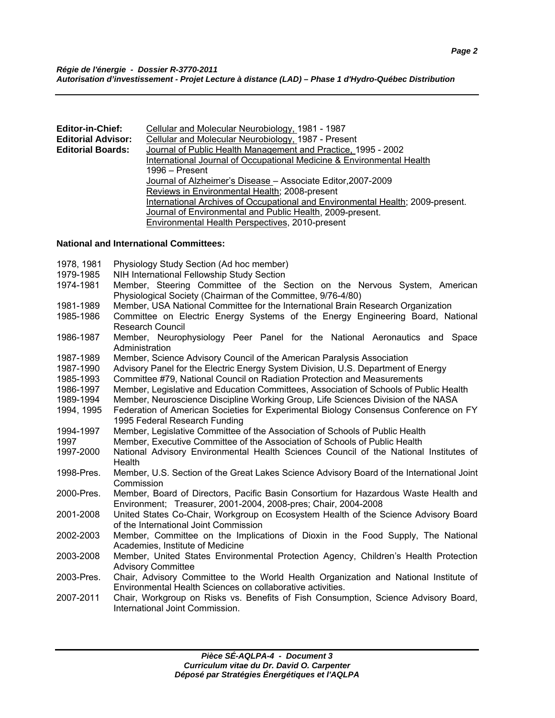| <b>Editor-in-Chief:</b>                                      | Cellular and Molecular Neurobiology, 1981 - 1987                               |  |
|--------------------------------------------------------------|--------------------------------------------------------------------------------|--|
| <b>Editorial Advisor:</b>                                    | Cellular and Molecular Neurobiology, 1987 - Present                            |  |
| <b>Editorial Boards:</b>                                     | Journal of Public Health Management and Practice, 1995 - 2002                  |  |
|                                                              | International Journal of Occupational Medicine & Environmental Health          |  |
|                                                              | 1996 – Present                                                                 |  |
| Journal of Alzheimer's Disease - Associate Editor, 2007-2009 |                                                                                |  |
| Reviews in Environmental Health; 2008-present                |                                                                                |  |
|                                                              | International Archives of Occupational and Environmental Health; 2009-present. |  |
|                                                              | Journal of Environmental and Public Health, 2009-present.                      |  |
|                                                              | <b>Environmental Health Perspectives, 2010-present</b>                         |  |

### **National and International Committees:**

| Physiology Study Section (Ad hoc member)                                                  |
|-------------------------------------------------------------------------------------------|
| NIH International Fellowship Study Section                                                |
| Member, Steering Committee of the Section on the Nervous System, American                 |
| Physiological Society (Chairman of the Committee, 9/76-4/80)                              |
| Member, USA National Committee for the International Brain Research Organization          |
| Committee on Electric Energy Systems of the Energy Engineering Board, National            |
| <b>Research Council</b>                                                                   |
| Member, Neurophysiology Peer Panel for the National Aeronautics and Space                 |
| Administration                                                                            |
| Member, Science Advisory Council of the American Paralysis Association                    |
| Advisory Panel for the Electric Energy System Division, U.S. Department of Energy         |
| Committee #79, National Council on Radiation Protection and Measurements                  |
| Member, Legislative and Education Committees, Association of Schools of Public Health     |
| Member, Neuroscience Discipline Working Group, Life Sciences Division of the NASA         |
| Federation of American Societies for Experimental Biology Consensus Conference on FY      |
| 1995 Federal Research Funding                                                             |
| Member, Legislative Committee of the Association of Schools of Public Health              |
| Member, Executive Committee of the Association of Schools of Public Health                |
| National Advisory Environmental Health Sciences Council of the National Institutes of     |
| Health                                                                                    |
| Member, U.S. Section of the Great Lakes Science Advisory Board of the International Joint |
| Commission                                                                                |
| Member, Board of Directors, Pacific Basin Consortium for Hazardous Waste Health and       |
| Environment; Treasurer, 2001-2004, 2008-pres; Chair, 2004-2008                            |
| United States Co-Chair, Workgroup on Ecosystem Health of the Science Advisory Board       |
| of the International Joint Commission                                                     |
| Member, Committee on the Implications of Dioxin in the Food Supply, The National          |
| Academies, Institute of Medicine                                                          |
| Member, United States Environmental Protection Agency, Children's Health Protection       |
| <b>Advisory Committee</b>                                                                 |
| Chair, Advisory Committee to the World Health Organization and National Institute of      |
| Environmental Health Sciences on collaborative activities.                                |
| Chair, Workgroup on Risks vs. Benefits of Fish Consumption, Science Advisory Board,       |
| International Joint Commission.                                                           |
|                                                                                           |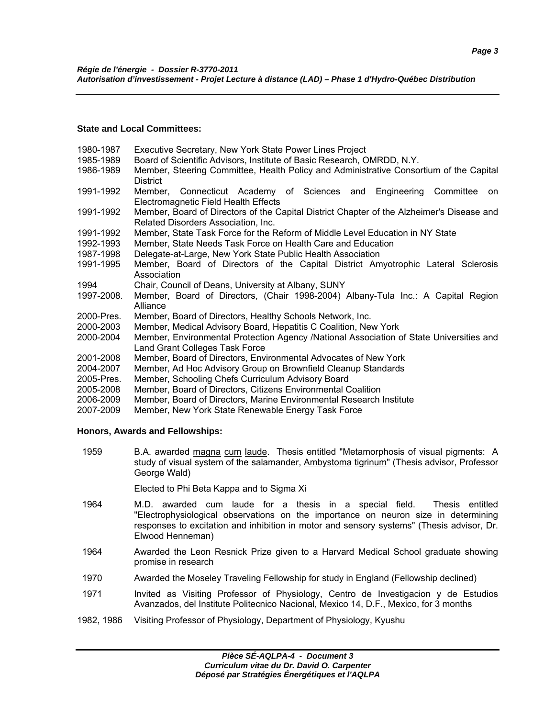### **State and Local Committees:**

- 1980-1987 Executive Secretary, New York State Power Lines Project 1985-1989 Board of Scientific Advisors, Institute of Basic Research, OMRDD, N.Y. 1986-1989 Member, Steering Committee, Health Policy and Administrative Consortium of the Capital **District** 1991-1992 Member, Connecticut Academy of Sciences and Engineering Committee on Electromagnetic Field Health Effects 1991-1992 Member, Board of Directors of the Capital District Chapter of the Alzheimer's Disease and Related Disorders Association, Inc. 1991-1992 Member, State Task Force for the Reform of Middle Level Education in NY State 1992-1993 Member, State Needs Task Force on Health Care and Education 1987-1998 Delegate-at-Large, New York State Public Health Association 1991-1995 Member, Board of Directors of the Capital District Amyotrophic Lateral Sclerosis Association 1994 Chair, Council of Deans, University at Albany, SUNY 1997-2008. Member, Board of Directors, (Chair 1998-2004) Albany-Tula Inc.: A Capital Region Alliance
- 2000-Pres. Member, Board of Directors, Healthy Schools Network, Inc.
- 2000-2003 Member, Medical Advisory Board, Hepatitis C Coalition, New York
- 2000-2004 Member, Environmental Protection Agency /National Association of State Universities and Land Grant Colleges Task Force
- 2001-2008 Member, Board of Directors, Environmental Advocates of New York
- 2004-2007 Member, Ad Hoc Advisory Group on Brownfield Cleanup Standards
- 2005-Pres. Member, Schooling Chefs Curriculum Advisory Board
- 2005-2008 Member, Board of Directors, Citizens Environmental Coalition
- 2006-2009 Member, Board of Directors, Marine Environmental Research Institute
- 2007-2009 Member, New York State Renewable Energy Task Force

# **Honors, Awards and Fellowships:**

 1959 B.A. awarded magna cum laude. Thesis entitled "Metamorphosis of visual pigments: A study of visual system of the salamander, Ambystoma tigrinum" (Thesis advisor, Professor George Wald)

Elected to Phi Beta Kappa and to Sigma Xi

- 1964 M.D. awarded cum laude for a thesis in a special field. Thesis entitled "Electrophysiological observations on the importance on neuron size in determining responses to excitation and inhibition in motor and sensory systems" (Thesis advisor, Dr. Elwood Henneman)
- 1964 Awarded the Leon Resnick Prize given to a Harvard Medical School graduate showing promise in research
- 1970 Awarded the Moseley Traveling Fellowship for study in England (Fellowship declined)
- 1971 Invited as Visiting Professor of Physiology, Centro de Investigacion y de Estudios Avanzados, del Institute Politecnico Nacional, Mexico 14, D.F., Mexico, for 3 months
- 1982, 1986 Visiting Professor of Physiology, Department of Physiology, Kyushu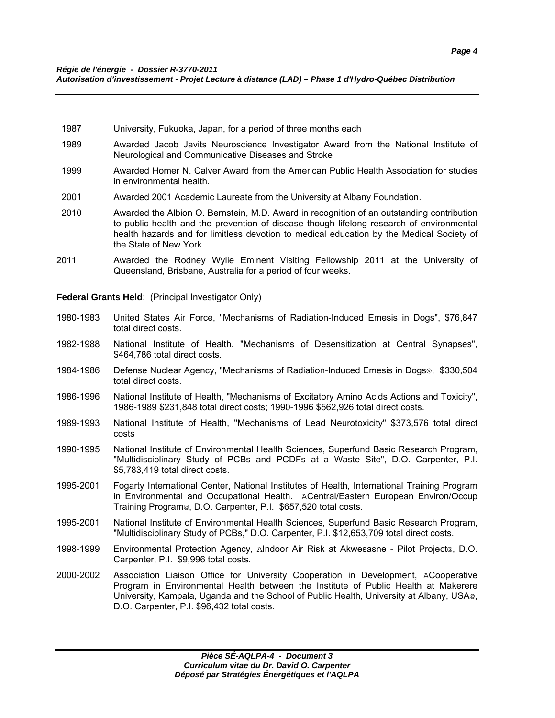- 1987 University, Fukuoka, Japan, for a period of three months each
- 1989 Awarded Jacob Javits Neuroscience Investigator Award from the National Institute of Neurological and Communicative Diseases and Stroke
- 1999 Awarded Homer N. Calver Award from the American Public Health Association for studies in environmental health.
- 2001 Awarded 2001 Academic Laureate from the University at Albany Foundation.
- 2010 Awarded the Albion O. Bernstein, M.D. Award in recognition of an outstanding contribution to public health and the prevention of disease though lifelong research of environmental health hazards and for limitless devotion to medical education by the Medical Society of the State of New York.
- 2011 Awarded the Rodney Wylie Eminent Visiting Fellowship 2011 at the University of Queensland, Brisbane, Australia for a period of four weeks.

**Federal Grants Held**: (Principal Investigator Only)

- 1980-1983 United States Air Force, "Mechanisms of Radiation-Induced Emesis in Dogs", \$76,847 total direct costs.
- 1982-1988 National Institute of Health, "Mechanisms of Desensitization at Central Synapses", \$464,786 total direct costs.
- 1984-1986 Defense Nuclear Agency, "Mechanisms of Radiation-Induced Emesis in Dogs@, \$330,504 total direct costs.
- 1986-1996 National Institute of Health, "Mechanisms of Excitatory Amino Acids Actions and Toxicity", 1986-1989 \$231,848 total direct costs; 1990-1996 \$562,926 total direct costs.
- 1989-1993 National Institute of Health, "Mechanisms of Lead Neurotoxicity" \$373,576 total direct costs
- 1990-1995 National Institute of Environmental Health Sciences, Superfund Basic Research Program, "Multidisciplinary Study of PCBs and PCDFs at a Waste Site", D.O. Carpenter, P.I. \$5,783,419 total direct costs.
- 1995-2001 Fogarty International Center, National Institutes of Health, International Training Program in Environmental and Occupational Health. ACentral/Eastern European Environ/Occup Training Program@, D.O. Carpenter, P.I. \$657,520 total costs.
- 1995-2001 National Institute of Environmental Health Sciences, Superfund Basic Research Program, "Multidisciplinary Study of PCBs," D.O. Carpenter, P.I. \$12,653,709 total direct costs.
- 1998-1999 Environmental Protection Agency, AIndoor Air Risk at Akwesasne Pilot Project@, D.O. Carpenter, P.I. \$9,996 total costs.
- 2000-2002 Association Liaison Office for University Cooperation in Development, ACooperative Program in Environmental Health between the Institute of Public Health at Makerere University, Kampala, Uganda and the School of Public Health, University at Albany, USA@, D.O. Carpenter, P.I. \$96,432 total costs.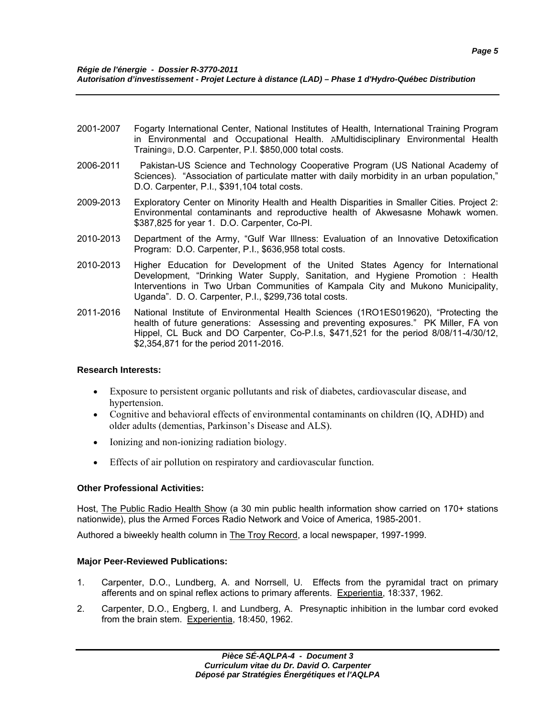- 2001-2007 Fogarty International Center, National Institutes of Health, International Training Program in Environmental and Occupational Health. AMultidisciplinary Environmental Health Training@, D.O. Carpenter, P.I. \$850,000 total costs.
- 2006-2011 Pakistan-US Science and Technology Cooperative Program (US National Academy of Sciences). "Association of particulate matter with daily morbidity in an urban population," D.O. Carpenter, P.I., \$391,104 total costs.
- 2009-2013 Exploratory Center on Minority Health and Health Disparities in Smaller Cities. Project 2: Environmental contaminants and reproductive health of Akwesasne Mohawk women. \$387,825 for year 1. D.O. Carpenter, Co-PI.
- 2010-2013 Department of the Army, "Gulf War Illness: Evaluation of an Innovative Detoxification Program: D.O. Carpenter, P.I., \$636,958 total costs.
- 2010-2013 Higher Education for Development of the United States Agency for International Development, "Drinking Water Supply, Sanitation, and Hygiene Promotion : Health Interventions in Two Urban Communities of Kampala City and Mukono Municipality, Uganda". D. O. Carpenter, P.I., \$299,736 total costs.
- 2011-2016 National Institute of Environmental Health Sciences (1RO1ES019620), "Protecting the health of future generations: Assessing and preventing exposures." PK Miller, FA von Hippel, CL Buck and DO Carpenter, Co-P.I.s, \$471,521 for the period 8/08/11-4/30/12, \$2,354,871 for the period 2011-2016.

# **Research Interests:**

- Exposure to persistent organic pollutants and risk of diabetes, cardiovascular disease, and hypertension.
- Cognitive and behavioral effects of environmental contaminants on children (IQ, ADHD) and older adults (dementias, Parkinson's Disease and ALS).
- Ionizing and non-ionizing radiation biology.
- Effects of air pollution on respiratory and cardiovascular function.

# **Other Professional Activities:**

Host, The Public Radio Health Show (a 30 min public health information show carried on 170+ stations nationwide), plus the Armed Forces Radio Network and Voice of America, 1985-2001.

Authored a biweekly health column in The Troy Record, a local newspaper, 1997-1999.

# **Major Peer-Reviewed Publications:**

- 1. Carpenter, D.O., Lundberg, A. and Norrsell, U. Effects from the pyramidal tract on primary afferents and on spinal reflex actions to primary afferents. Experientia, 18:337, 1962.
- 2. Carpenter, D.O., Engberg, I. and Lundberg, A. Presynaptic inhibition in the lumbar cord evoked from the brain stem. Experientia, 18:450, 1962.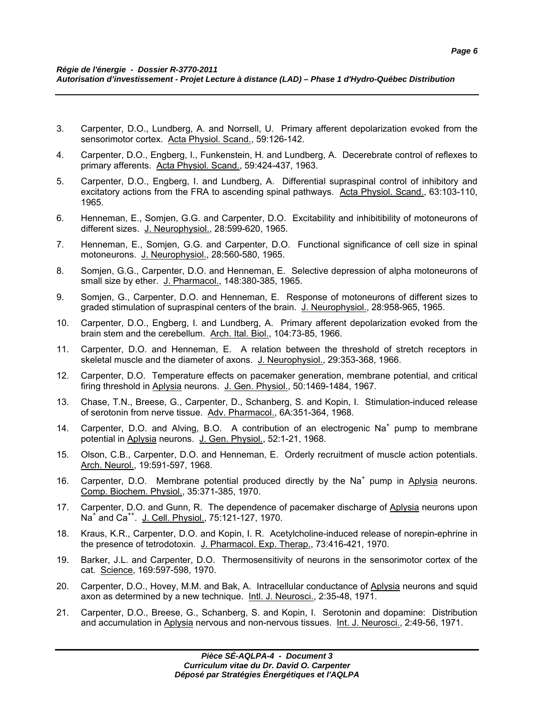- 3. Carpenter, D.O., Lundberg, A. and Norrsell, U. Primary afferent depolarization evoked from the sensorimotor cortex. Acta Physiol. Scand., 59:126-142.
- 4. Carpenter, D.O., Engberg, I., Funkenstein, H. and Lundberg, A. Decerebrate control of reflexes to primary afferents. Acta Physiol. Scand., 59:424-437, 1963.
- 5. Carpenter, D.O., Engberg, I. and Lundberg, A. Differential supraspinal control of inhibitory and excitatory actions from the FRA to ascending spinal pathways. Acta Physiol. Scand., 63:103-110, 1965.
- 6. Henneman, E., Somjen, G.G. and Carpenter, D.O. Excitability and inhibitibility of motoneurons of different sizes. J. Neurophysiol., 28:599-620, 1965.
- 7. Henneman, E., Somjen, G.G. and Carpenter, D.O. Functional significance of cell size in spinal motoneurons. J. Neurophysiol., 28:560-580, 1965.
- 8. Somjen, G.G., Carpenter, D.O. and Henneman, E. Selective depression of alpha motoneurons of small size by ether. J. Pharmacol., 148:380-385, 1965.
- 9. Somjen, G., Carpenter, D.O. and Henneman, E. Response of motoneurons of different sizes to graded stimulation of supraspinal centers of the brain. J. Neurophysiol., 28:958-965, 1965.
- 10. Carpenter, D.O., Engberg, I. and Lundberg, A. Primary afferent depolarization evoked from the brain stem and the cerebellum. Arch. Ital. Biol., 104:73-85, 1966.
- 11. Carpenter, D.O. and Henneman, E. A relation between the threshold of stretch receptors in skeletal muscle and the diameter of axons. J. Neurophysiol., 29:353-368, 1966.
- 12. Carpenter, D.O. Temperature effects on pacemaker generation, membrane potential, and critical firing threshold in Aplysia neurons. J. Gen. Physiol., 50:1469-1484, 1967.
- 13. Chase, T.N., Breese, G., Carpenter, D., Schanberg, S. and Kopin, I. Stimulation-induced release of serotonin from nerve tissue. Adv. Pharmacol., 6A:351-364, 1968.
- 14. Carpenter, D.O. and Alving, B.O. A contribution of an electrogenic Na<sup>+</sup> pump to membrane potential in Aplysia neurons. J. Gen. Physiol., 52:1-21, 1968.
- 15. Olson, C.B., Carpenter, D.O. and Henneman, E. Orderly recruitment of muscle action potentials. Arch. Neurol., 19:591-597, 1968.
- 16. Carpenter, D.O. Membrane potential produced directly by the Na<sup>+</sup> pump in Aplysia neurons. Comp. Biochem. Physiol., 35:371-385, 1970.
- 17. Carpenter, D.O. and Gunn, R. The dependence of pacemaker discharge of Aplysia neurons upon Na<sup>+</sup> and Ca<sup>++</sup>. J. Cell. Physiol., 75:121-127, 1970.
- 18. Kraus, K.R., Carpenter, D.O. and Kopin, I. R. Acetylcholine-induced release of norepin-ephrine in the presence of tetrodotoxin. J. Pharmacol. Exp. Therap., 73:416-421, 1970.
- 19. Barker, J.L. and Carpenter, D.O. Thermosensitivity of neurons in the sensorimotor cortex of the cat. Science, 169:597-598, 1970.
- 20. Carpenter, D.O., Hovey, M.M. and Bak, A. Intracellular conductance of Aplysia neurons and squid axon as determined by a new technique. Intl. J. Neurosci., 2:35-48, 1971.
- 21. Carpenter, D.O., Breese, G., Schanberg, S. and Kopin, I. Serotonin and dopamine: Distribution and accumulation in Aplysia nervous and non-nervous tissues. Int. J. Neurosci., 2:49-56, 1971.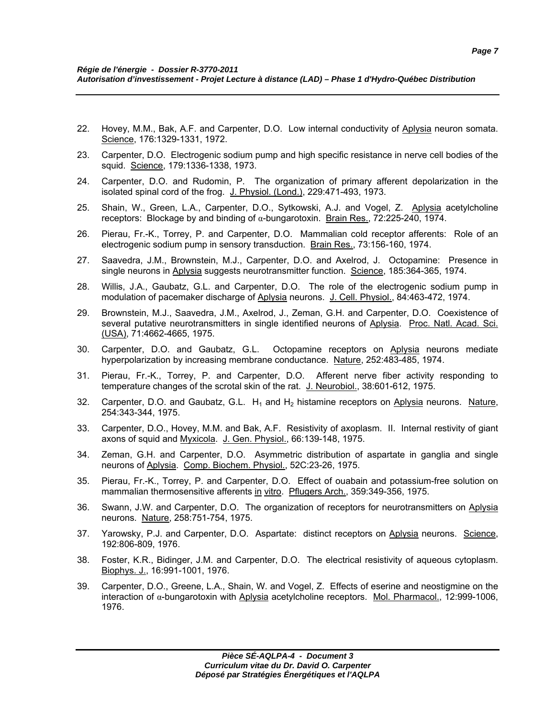- 22. Hovey, M.M., Bak, A.F. and Carpenter, D.O. Low internal conductivity of Aplysia neuron somata. Science, 176:1329-1331, 1972.
- 23. Carpenter, D.O. Electrogenic sodium pump and high specific resistance in nerve cell bodies of the squid. Science, 179:1336-1338, 1973.
- 24. Carpenter, D.O. and Rudomin, P. The organization of primary afferent depolarization in the isolated spinal cord of the frog. J. Physiol. (Lond.), 229:471-493, 1973.
- 25. Shain, W., Green, L.A., Carpenter, D.O., Sytkowski, A.J. and Vogel, Z. Aplysia acetylcholine receptors: Blockage by and binding of α-bungarotoxin. Brain Res., 72:225-240, 1974.
- 26. Pierau, Fr.-K., Torrey, P. and Carpenter, D.O. Mammalian cold receptor afferents: Role of an electrogenic sodium pump in sensory transduction. Brain Res., 73:156-160, 1974.
- 27. Saavedra, J.M., Brownstein, M.J., Carpenter, D.O. and Axelrod, J. Octopamine: Presence in single neurons in Aplysia suggests neurotransmitter function. Science, 185:364-365, 1974.
- 28. Willis, J.A., Gaubatz, G.L. and Carpenter, D.O. The role of the electrogenic sodium pump in modulation of pacemaker discharge of Aplysia neurons. J. Cell. Physiol., 84:463-472, 1974.
- 29. Brownstein, M.J., Saavedra, J.M., Axelrod, J., Zeman, G.H. and Carpenter, D.O. Coexistence of several putative neurotransmitters in single identified neurons of Aplysia. Proc. Natl. Acad. Sci. (USA), 71:4662-4665, 1975.
- 30. Carpenter, D.O. and Gaubatz, G.L. Octopamine receptors on Aplysia neurons mediate hyperpolarization by increasing membrane conductance. Nature, 252:483-485, 1974.
- 31. Pierau, Fr.-K., Torrey, P. and Carpenter, D.O. Afferent nerve fiber activity responding to temperature changes of the scrotal skin of the rat. J. Neurobiol., 38:601-612, 1975.
- 32. Carpenter, D.O. and Gaubatz, G.L.  $H_1$  and  $H_2$  histamine receptors on Aplysia neurons. Nature, 254:343-344, 1975.
- 33. Carpenter, D.O., Hovey, M.M. and Bak, A.F. Resistivity of axoplasm. II. Internal restivity of giant axons of squid and Myxicola. J. Gen. Physiol., 66:139-148, 1975.
- 34. Zeman, G.H. and Carpenter, D.O. Asymmetric distribution of aspartate in ganglia and single neurons of Aplysia. Comp. Biochem. Physiol., 52C:23-26, 1975.
- 35. Pierau, Fr.-K., Torrey, P. and Carpenter, D.O. Effect of ouabain and potassium-free solution on mammalian thermosensitive afferents in vitro. Pflugers Arch., 359:349-356, 1975.
- 36. Swann, J.W. and Carpenter, D.O. The organization of receptors for neurotransmitters on Aplysia neurons. Nature, 258:751-754, 1975.
- 37. Yarowsky, P.J. and Carpenter, D.O. Aspartate: distinct receptors on Aplysia neurons. Science, 192:806-809, 1976.
- 38. Foster, K.R., Bidinger, J.M. and Carpenter, D.O. The electrical resistivity of aqueous cytoplasm. Biophys. J., 16:991-1001, 1976.
- 39. Carpenter, D.O., Greene, L.A., Shain, W. and Vogel, Z. Effects of eserine and neostigmine on the interaction of  $α$ -bungarotoxin with Aplysia acetylcholine receptors. Mol. Pharmacol., 12:999-1006, 1976.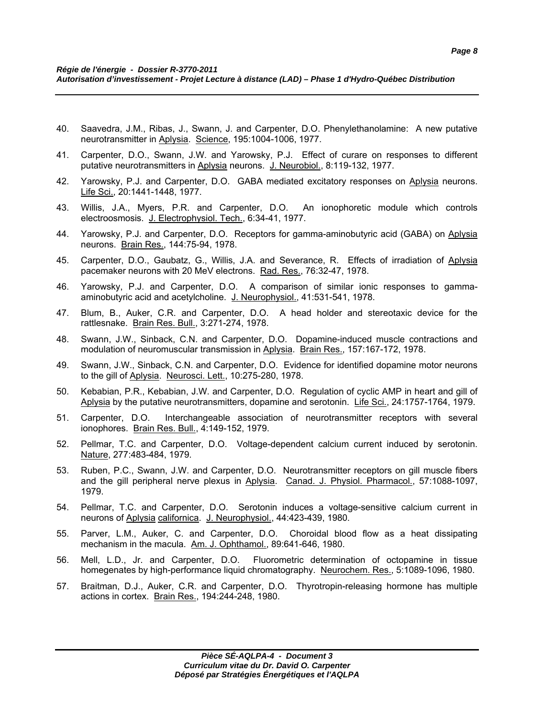- 40. Saavedra, J.M., Ribas, J., Swann, J. and Carpenter, D.O. Phenylethanolamine: A new putative neurotransmitter in Aplysia. Science, 195:1004-1006, 1977.
- 41. Carpenter, D.O., Swann, J.W. and Yarowsky, P.J. Effect of curare on responses to different putative neurotransmitters in Aplysia neurons. J. Neurobiol., 8:119-132, 1977.
- 42. Yarowsky, P.J. and Carpenter, D.O. GABA mediated excitatory responses on Aplysia neurons. Life Sci., 20:1441-1448, 1977.
- 43. Willis, J.A., Myers, P.R. and Carpenter, D.O. An ionophoretic module which controls electroosmosis. J. Electrophysiol. Tech., 6:34-41, 1977.
- 44. Yarowsky, P.J. and Carpenter, D.O. Receptors for gamma-aminobutyric acid (GABA) on Aplysia neurons. Brain Res., 144:75-94, 1978.
- 45. Carpenter, D.O., Gaubatz, G., Willis, J.A. and Severance, R. Effects of irradiation of Aplysia pacemaker neurons with 20 MeV electrons. Rad. Res., 76:32-47, 1978.
- 46. Yarowsky, P.J. and Carpenter, D.O. A comparison of similar ionic responses to gammaaminobutyric acid and acetylcholine. J. Neurophysiol., 41:531-541, 1978.
- 47. Blum, B., Auker, C.R. and Carpenter, D.O. A head holder and stereotaxic device for the rattlesnake. Brain Res. Bull., 3:271-274, 1978.
- 48. Swann, J.W., Sinback, C.N. and Carpenter, D.O. Dopamine-induced muscle contractions and modulation of neuromuscular transmission in Aplysia. Brain Res., 157:167-172, 1978.
- 49. Swann, J.W., Sinback, C.N. and Carpenter, D.O. Evidence for identified dopamine motor neurons to the gill of Aplysia. Neurosci. Lett., 10:275-280, 1978.
- 50. Kebabian, P.R., Kebabian, J.W. and Carpenter, D.O. Regulation of cyclic AMP in heart and gill of Aplysia by the putative neurotransmitters, dopamine and serotonin. Life Sci., 24:1757-1764, 1979.
- 51. Carpenter, D.O. Interchangeable association of neurotransmitter receptors with several ionophores. Brain Res. Bull., 4:149-152, 1979.
- 52. Pellmar, T.C. and Carpenter, D.O. Voltage-dependent calcium current induced by serotonin. Nature, 277:483-484, 1979.
- 53. Ruben, P.C., Swann, J.W. and Carpenter, D.O. Neurotransmitter receptors on gill muscle fibers and the gill peripheral nerve plexus in Aplysia. Canad. J. Physiol. Pharmacol., 57:1088-1097, 1979.
- 54. Pellmar, T.C. and Carpenter, D.O. Serotonin induces a voltage-sensitive calcium current in neurons of Aplysia californica. J. Neurophysiol., 44:423-439, 1980.
- 55. Parver, L.M., Auker, C. and Carpenter, D.O. Choroidal blood flow as a heat dissipating mechanism in the macula. Am. J. Ophthamol., 89:641-646, 1980.
- 56. Mell, L.D., Jr. and Carpenter, D.O. Fluorometric determination of octopamine in tissue homegenates by high-performance liquid chromatography. Neurochem. Res., 5:1089-1096, 1980.
- 57. Braitman, D.J., Auker, C.R. and Carpenter, D.O. Thyrotropin-releasing hormone has multiple actions in cortex. Brain Res., 194:244-248, 1980.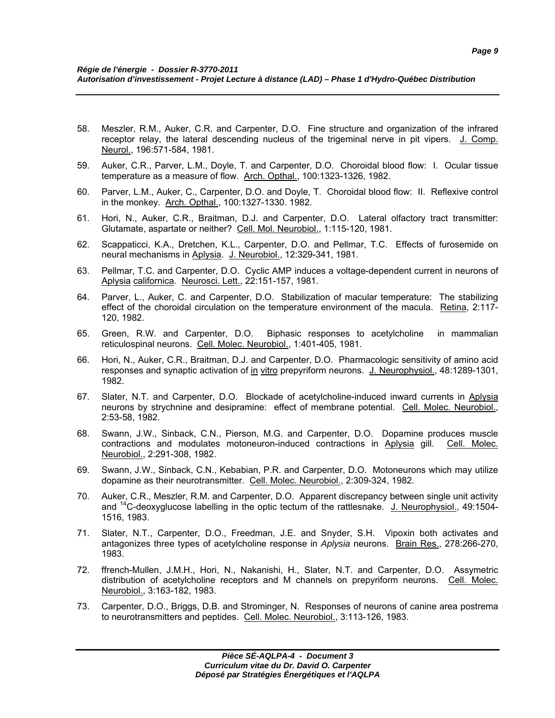- 58. Meszler, R.M., Auker, C.R. and Carpenter, D.O. Fine structure and organization of the infrared receptor relay, the lateral descending nucleus of the trigeminal nerve in pit vipers. J. Comp. Neurol., 196:571-584, 1981.
- 59. Auker, C.R., Parver, L.M., Doyle, T. and Carpenter, D.O. Choroidal blood flow: I. Ocular tissue temperature as a measure of flow. Arch. Opthal., 100:1323-1326, 1982.
- 60. Parver, L.M., Auker, C., Carpenter, D.O. and Doyle, T. Choroidal blood flow: II. Reflexive control in the monkey. Arch. Opthal., 100:1327-1330. 1982.
- 61. Hori, N., Auker, C.R., Braitman, D.J. and Carpenter, D.O. Lateral olfactory tract transmitter: Glutamate, aspartate or neither? Cell. Mol. Neurobiol., 1:115-120, 1981.
- 62. Scappaticci, K.A., Dretchen, K.L., Carpenter, D.O. and Pellmar, T.C. Effects of furosemide on neural mechanisms in Aplysia. J. Neurobiol., 12:329-341, 1981.
- 63. Pellmar, T.C. and Carpenter, D.O. Cyclic AMP induces a voltage-dependent current in neurons of Aplysia californica. Neurosci. Lett., 22:151-157, 1981.
- 64. Parver, L., Auker, C. and Carpenter, D.O. Stabilization of macular temperature: The stabilizing effect of the choroidal circulation on the temperature environment of the macula. Retina, 2:117- 120, 1982.
- 65. Green, R.W. and Carpenter, D.O. Biphasic responses to acetylcholine in mammalian reticulospinal neurons. Cell. Molec. Neurobiol., 1:401-405, 1981.
- 66. Hori, N., Auker, C.R., Braitman, D.J. and Carpenter, D.O. Pharmacologic sensitivity of amino acid responses and synaptic activation of in vitro prepyriform neurons. J. Neurophysiol., 48:1289-1301, 1982.
- 67. Slater, N.T. and Carpenter, D.O. Blockade of acetylcholine-induced inward currents in Aplysia neurons by strychnine and desipramine: effect of membrane potential. Cell. Molec. Neurobiol., 2:53-58, 1982.
- 68. Swann, J.W., Sinback, C.N., Pierson, M.G. and Carpenter, D.O. Dopamine produces muscle contractions and modulates motoneuron-induced contractions in Aplysia gill. Cell. Molec. Neurobiol., 2:291-308, 1982.
- 69. Swann, J.W., Sinback, C.N., Kebabian, P.R. and Carpenter, D.O. Motoneurons which may utilize dopamine as their neurotransmitter. Cell. Molec. Neurobiol., 2:309-324, 1982.
- 70. Auker, C.R., Meszler, R.M. and Carpenter, D.O. Apparent discrepancy between single unit activity and <sup>14</sup>C-deoxyglucose labelling in the optic tectum of the rattlesnake. J. Neurophysiol., 49:1504-1516, 1983.
- 71. Slater, N.T., Carpenter, D.O., Freedman, J.E. and Snyder, S.H. Vipoxin both activates and antagonizes three types of acetylcholine response in *Aplysia* neurons. Brain Res., 278:266-270, 1983.
- 72. ffrench-Mullen, J.M.H., Hori, N., Nakanishi, H., Slater, N.T. and Carpenter, D.O. Assymetric distribution of acetylcholine receptors and M channels on prepyriform neurons. Cell. Molec. Neurobiol., 3:163-182, 1983.
- 73. Carpenter, D.O., Briggs, D.B. and Strominger, N. Responses of neurons of canine area postrema to neurotransmitters and peptides. Cell. Molec. Neurobiol., 3:113-126, 1983.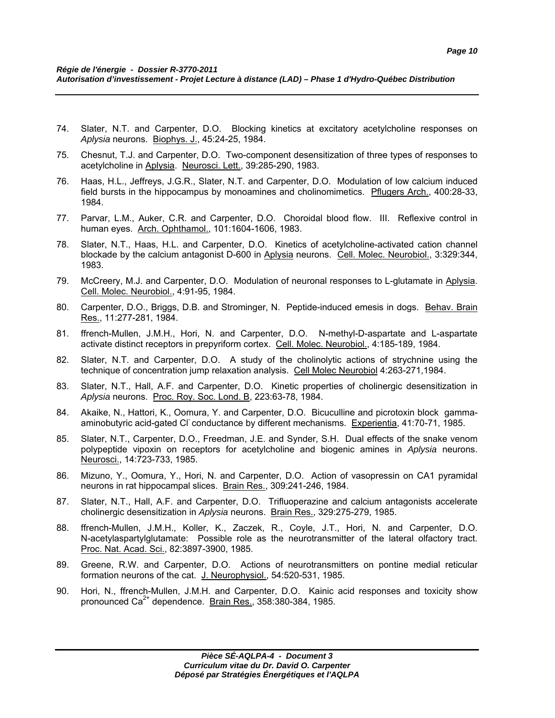- 74. Slater, N.T. and Carpenter, D.O. Blocking kinetics at excitatory acetylcholine responses on *Aplysia* neurons. Biophys. J., 45:24-25, 1984.
- 75. Chesnut, T.J. and Carpenter, D.O. Two-component desensitization of three types of responses to acetylcholine in Aplysia. Neurosci. Lett., 39:285-290, 1983.
- 76. Haas, H.L., Jeffreys, J.G.R., Slater, N.T. and Carpenter, D.O. Modulation of low calcium induced field bursts in the hippocampus by monoamines and cholinomimetics. Pflugers Arch., 400:28-33, 1984.
- 77. Parvar, L.M., Auker, C.R. and Carpenter, D.O. Choroidal blood flow. III. Reflexive control in human eyes. Arch. Ophthamol., 101:1604-1606, 1983.
- 78. Slater, N.T., Haas, H.L. and Carpenter, D.O. Kinetics of acetylcholine-activated cation channel blockade by the calcium antagonist D-600 in Aplysia neurons. Cell. Molec. Neurobiol., 3:329:344, 1983.
- 79. McCreery, M.J. and Carpenter, D.O. Modulation of neuronal responses to L-glutamate in Aplysia. Cell. Molec. Neurobiol., 4:91-95, 1984.
- 80. Carpenter, D.O., Briggs, D.B. and Strominger, N. Peptide-induced emesis in dogs. Behav. Brain Res., 11:277-281, 1984.
- 81. ffrench-Mullen, J.M.H., Hori, N. and Carpenter, D.O. N-methyl-D-aspartate and L-aspartate activate distinct receptors in prepyriform cortex. Cell. Molec. Neurobiol., 4:185-189, 1984.
- 82. Slater, N.T. and Carpenter, D.O. A study of the cholinolytic actions of strychnine using the technique of concentration jump relaxation analysis. Cell Molec Neurobiol 4:263-271,1984.
- 83. Slater, N.T., Hall, A.F. and Carpenter, D.O. Kinetic properties of cholinergic desensitization in *Aplysia* neurons. Proc. Roy. Soc. Lond. B, 223:63-78, 1984.
- 84. Akaike, N., Hattori, K., Oomura, Y. and Carpenter, D.O. Bicuculline and picrotoxin block gammaaminobutyric acid-gated Cl<sup>-</sup> conductance by different mechanisms. Experientia, 41:70-71, 1985.
- 85. Slater, N.T., Carpenter, D.O., Freedman, J.E. and Synder, S.H. Dual effects of the snake venom polypeptide vipoxin on receptors for acetylcholine and biogenic amines in *Aplysia* neurons. Neurosci., 14:723-733, 1985.
- 86. Mizuno, Y., Oomura, Y., Hori, N. and Carpenter, D.O. Action of vasopressin on CA1 pyramidal neurons in rat hippocampal slices. Brain Res., 309:241-246, 1984.
- 87. Slater, N.T., Hall, A.F. and Carpenter, D.O. Trifluoperazine and calcium antagonists accelerate cholinergic desensitization in *Aplysia* neurons. Brain Res., 329:275-279, 1985.
- 88. ffrench-Mullen, J.M.H., Koller, K., Zaczek, R., Coyle, J.T., Hori, N. and Carpenter, D.O. N-acetylaspartylglutamate: Possible role as the neurotransmitter of the lateral olfactory tract. Proc. Nat. Acad. Sci., 82:3897-3900, 1985.
- 89. Greene, R.W. and Carpenter, D.O. Actions of neurotransmitters on pontine medial reticular formation neurons of the cat. J. Neurophysiol., 54:520-531, 1985.
- 90. Hori, N., ffrench-Mullen, J.M.H. and Carpenter, D.O. Kainic acid responses and toxicity show pronounced  $Ca^{2+}$  dependence. Brain Res., 358:380-384, 1985.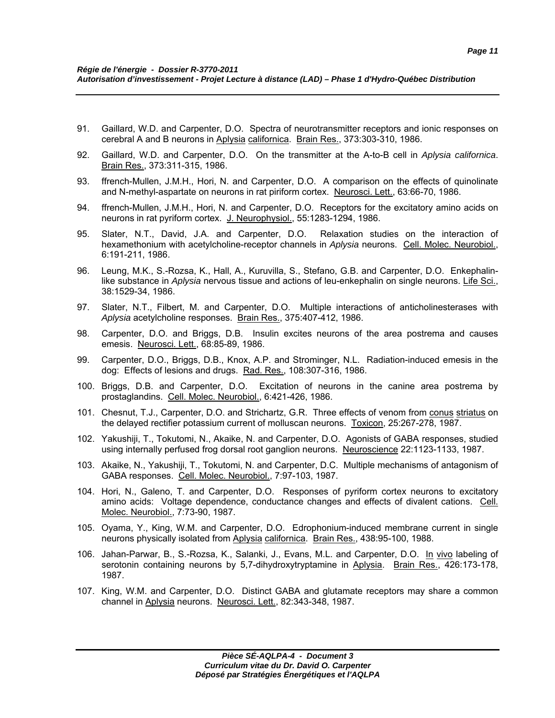- 91. Gaillard, W.D. and Carpenter, D.O. Spectra of neurotransmitter receptors and ionic responses on cerebral A and B neurons in Aplysia californica. Brain Res., 373:303-310, 1986.
- 92. Gaillard, W.D. and Carpenter, D.O. On the transmitter at the A-to-B cell in *Aplysia californica*. Brain Res., 373:311-315, 1986.
- 93. ffrench-Mullen, J.M.H., Hori, N. and Carpenter, D.O. A comparison on the effects of quinolinate and N-methyl-aspartate on neurons in rat piriform cortex. Neurosci. Lett., 63:66-70, 1986.
- 94. ffrench-Mullen, J.M.H., Hori, N. and Carpenter, D.O. Receptors for the excitatory amino acids on neurons in rat pyriform cortex. J. Neurophysiol., 55:1283-1294, 1986.
- 95. Slater, N.T., David, J.A. and Carpenter, D.O. Relaxation studies on the interaction of hexamethonium with acetylcholine-receptor channels in *Aplysia* neurons. Cell. Molec. Neurobiol., 6:191-211, 1986.
- 96. Leung, M.K., S.-Rozsa, K., Hall, A., Kuruvilla, S., Stefano, G.B. and Carpenter, D.O. Enkephalinlike substance in *Aplysia* nervous tissue and actions of leu-enkephalin on single neurons. Life Sci., 38:1529-34, 1986.
- 97. Slater, N.T., Filbert, M. and Carpenter, D.O. Multiple interactions of anticholinesterases with *Aplysia* acetylcholine responses. Brain Res., 375:407-412, 1986.
- 98. Carpenter, D.O. and Briggs, D.B. Insulin excites neurons of the area postrema and causes emesis. Neurosci. Lett., 68:85-89, 1986.
- 99. Carpenter, D.O., Briggs, D.B., Knox, A.P. and Strominger, N.L. Radiation-induced emesis in the dog: Effects of lesions and drugs. Rad. Res., 108:307-316, 1986.
- 100. Briggs, D.B. and Carpenter, D.O. Excitation of neurons in the canine area postrema by prostaglandins. Cell. Molec. Neurobiol., 6:421-426, 1986.
- 101. Chesnut, T.J., Carpenter, D.O. and Strichartz, G.R. Three effects of venom from conus striatus on the delayed rectifier potassium current of molluscan neurons. Toxicon, 25:267-278, 1987.
- 102. Yakushiji, T., Tokutomi, N., Akaike, N. and Carpenter, D.O. Agonists of GABA responses, studied using internally perfused frog dorsal root ganglion neurons. Neuroscience 22:1123-1133, 1987.
- 103. Akaike, N., Yakushiji, T., Tokutomi, N. and Carpenter, D.C. Multiple mechanisms of antagonism of GABA responses. Cell. Molec. Neurobiol., 7:97-103, 1987.
- 104. Hori, N., Galeno, T. and Carpenter, D.O. Responses of pyriform cortex neurons to excitatory amino acids: Voltage dependence, conductance changes and effects of divalent cations. Cell. Molec. Neurobiol., 7:73-90, 1987.
- 105. Oyama, Y., King, W.M. and Carpenter, D.O. Edrophonium-induced membrane current in single neurons physically isolated from Aplysia californica. Brain Res., 438:95-100, 1988.
- 106. Jahan-Parwar, B., S.-Rozsa, K., Salanki, J., Evans, M.L. and Carpenter, D.O. In vivo labeling of serotonin containing neurons by 5,7-dihydroxytryptamine in Aplysia. Brain Res., 426:173-178, 1987.
- 107. King, W.M. and Carpenter, D.O. Distinct GABA and glutamate receptors may share a common channel in Aplysia neurons. Neurosci. Lett., 82:343-348, 1987.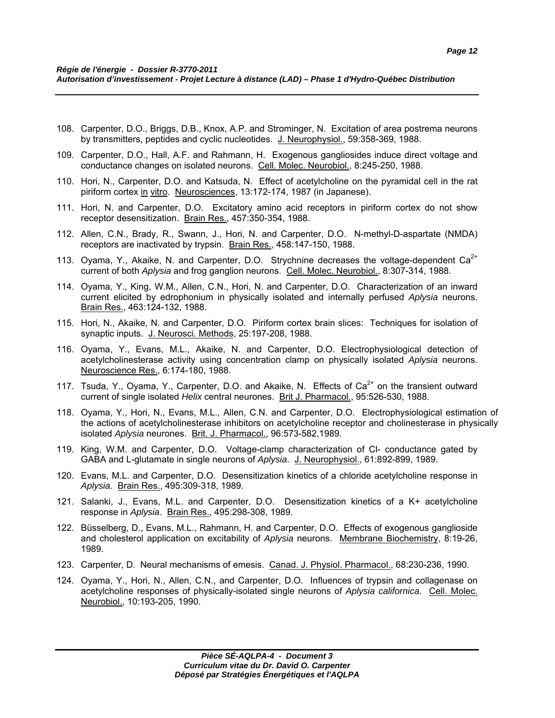- 108. Carpenter, D.O., Briggs, D.B., Knox, A.P. and Strominger, N. Excitation of area postrema neurons by transmitters, peptides and cyclic nucleotides. J. Neurophysiol., 59:358-369, 1988.
- 109. Carpenter, D.O., Hall, A.F. and Rahmann, H. Exogenous gangliosides induce direct voltage and conductance changes on isolated neurons. Cell. Molec. Neurobiol., 8:245-250, 1988.
- 110. Hori, N., Carpenter, D.O. and Katsuda, N. Effect of acetylcholine on the pyramidal cell in the rat piriform cortex in vitro. Neurosciences, 13:172-174, 1987 (in Japanese).
- 111. Hori, N. and Carpenter, D.O. Excitatory amino acid receptors in piriform cortex do not show receptor desensitization. Brain Res., 457:350-354, 1988.
- 112. Allen, C.N., Brady, R., Swann, J., Hori, N. and Carpenter, D.O. N-methyl-D-aspartate (NMDA) receptors are inactivated by trypsin. Brain Res., 458:147-150, 1988.
- 113. Oyama, Y., Akaike, N. and Carpenter, D.O. Strychnine decreases the voltage-dependent  $Ca<sup>2+</sup>$ current of both *Aplysia* and frog ganglion neurons. Cell. Molec. Neurobiol., 8:307-314, 1988.
- 114. Oyama, Y., King, W.M., Allen, C.N., Hori, N. and Carpenter, D.O. Characterization of an inward current elicited by edrophonium in physically isolated and internally perfused *Aplysia* neurons. Brain Res., 463:124-132, 1988.
- 115. Hori, N., Akaike, N. and Carpenter, D.O. Piriform cortex brain slices: Techniques for isolation of synaptic inputs. J. Neurosci. Methods, 25:197-208, 1988.
- 116. Oyama, Y., Evans, M.L., Akaike, N. and Carpenter, D.O. Electrophysiological detection of acetylcholinesterase activity using concentration clamp on physically isolated *Aplysia* neurons. Neuroscience Res., 6:174-180, 1988.
- 117. Tsuda, Y., Oyama, Y., Carpenter, D.O. and Akaike, N. Effects of  $Ca<sup>2+</sup>$  on the transient outward current of single isolated *Helix* central neurones. Brit J. Pharmacol., 95:526-530, 1988.
- 118. Oyama, Y., Hori, N., Evans, M.L., Allen, C.N. and Carpenter, D.O. Electrophysiological estimation of the actions of acetylcholinesterase inhibitors on acetylcholine receptor and cholinesterase in physically isolated *Aplysia* neurones. Brit. J. Pharmacol., 96:573-582,1989.
- 119. King, W.M. and Carpenter, D.O. Voltage-clamp characterization of Cl- conductance gated by GABA and L-glutamate in single neurons of *Aplysia*. J. Neurophysiol., 61:892-899, 1989.
- 120. Evans, M.L. and Carpenter, D.O. Desensitization kinetics of a chloride acetylcholine response in *Aplysia*. Brain Res., 495:309-318, 1989.
- 121. Salanki, J., Evans, M.L. and Carpenter, D.O. Desensitization kinetics of a K+ acetylcholine response in *Aplysia*. Brain Res., 495:298-308, 1989.
- 122. Büsselberg, D., Evans, M.L., Rahmann, H. and Carpenter, D.O. Effects of exogenous ganglioside and cholesterol application on excitability of *Aplysia* neurons. Membrane Biochemistry, 8:19-26, 1989.
- 123. Carpenter, D. Neural mechanisms of emesis. Canad. J. Physiol. Pharmacol., 68:230-236, 1990.
- 124. Oyama, Y., Hori, N., Allen, C.N., and Carpenter, D.O. Influences of trypsin and collagenase on acetylcholine responses of physically-isolated single neurons of *Aplysia californica*. Cell. Molec. Neurobiol., 10:193-205, 1990.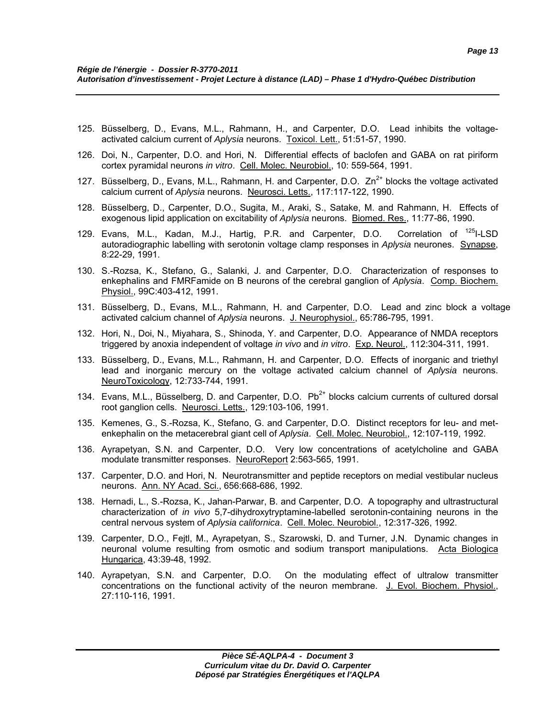- 125. Büsselberg, D., Evans, M.L., Rahmann, H., and Carpenter, D.O. Lead inhibits the voltageactivated calcium current of *Aplysia* neurons. Toxicol. Lett., 51:51-57, 1990.
- 126. Doi, N., Carpenter, D.O. and Hori, N. Differential effects of baclofen and GABA on rat piriform cortex pyramidal neurons *in vitro*. Cell. Molec. Neurobiol., 10: 559-564, 1991.
- 127. Büsselberg, D., Evans, M.L., Rahmann, H. and Carpenter, D.O.  $Zn^{2+}$  blocks the voltage activated calcium current of *Aplysia* neurons. Neurosci. Letts., 117:117-122, 1990.
- 128. Büsselberg, D., Carpenter, D.O., Sugita, M., Araki, S., Satake, M. and Rahmann, H. Effects of exogenous lipid application on excitability of *Aplysia* neurons. Biomed. Res., 11:77-86, 1990.
- 129. Evans, M.L., Kadan, M.J., Hartig, P.R. and Carpenter, D.O. Correlation of <sup>125</sup>I-LSD autoradiographic labelling with serotonin voltage clamp responses in *Aplysia* neurones. Synapse, 8:22-29, 1991.
- 130. S.-Rozsa, K., Stefano, G., Salanki, J. and Carpenter, D.O. Characterization of responses to enkephalins and FMRFamide on B neurons of the cerebral ganglion of *Aplysia*. Comp. Biochem. Physiol., 99C:403-412, 1991.
- 131. Büsselberg, D., Evans, M.L., Rahmann, H. and Carpenter, D.O. Lead and zinc block a voltage activated calcium channel of *Aplysia* neurons. J. Neurophysiol., 65:786-795, 1991.
- 132. Hori, N., Doi, N., Miyahara, S., Shinoda, Y. and Carpenter, D.O. Appearance of NMDA receptors triggered by anoxia independent of voltage *in vivo* and *in vitro*. Exp. Neurol., 112:304-311, 1991.
- 133. Büsselberg, D., Evans, M.L., Rahmann, H. and Carpenter, D.O. Effects of inorganic and triethyl lead and inorganic mercury on the voltage activated calcium channel of *Aplysia* neurons. NeuroToxicology, 12:733-744, 1991.
- 134. Evans, M.L., Büsselberg, D. and Carpenter, D.O.  $Pb^{2+}$  blocks calcium currents of cultured dorsal root ganglion cells. Neurosci. Letts., 129:103-106, 1991.
- 135. Kemenes, G., S.-Rozsa, K., Stefano, G. and Carpenter, D.O. Distinct receptors for leu- and metenkephalin on the metacerebral giant cell of *Aplysia*. Cell. Molec. Neurobiol., 12:107-119, 1992.
- 136. Ayrapetyan, S.N. and Carpenter, D.O. Very low concentrations of acetylcholine and GABA modulate transmitter responses. NeuroReport 2:563-565, 1991.
- 137. Carpenter, D.O. and Hori, N. Neurotransmitter and peptide receptors on medial vestibular nucleus neurons. Ann. NY Acad. Sci., 656:668-686, 1992.
- 138. Hernadi, L., S.-Rozsa, K., Jahan-Parwar, B. and Carpenter, D.O. A topography and ultrastructural characterization of *in vivo* 5,7-dihydroxytryptamine-labelled serotonin-containing neurons in the central nervous system of *Aplysia californica*. Cell. Molec. Neurobiol., 12:317-326, 1992.
- 139. Carpenter, D.O., Fejtl, M., Ayrapetyan, S., Szarowski, D. and Turner, J.N. Dynamic changes in neuronal volume resulting from osmotic and sodium transport manipulations. Acta Biologica Hungarica, 43:39-48, 1992.
- 140. Ayrapetyan, S.N. and Carpenter, D.O. On the modulating effect of ultralow transmitter concentrations on the functional activity of the neuron membrane. J. Evol. Biochem. Physiol., 27:110-116, 1991.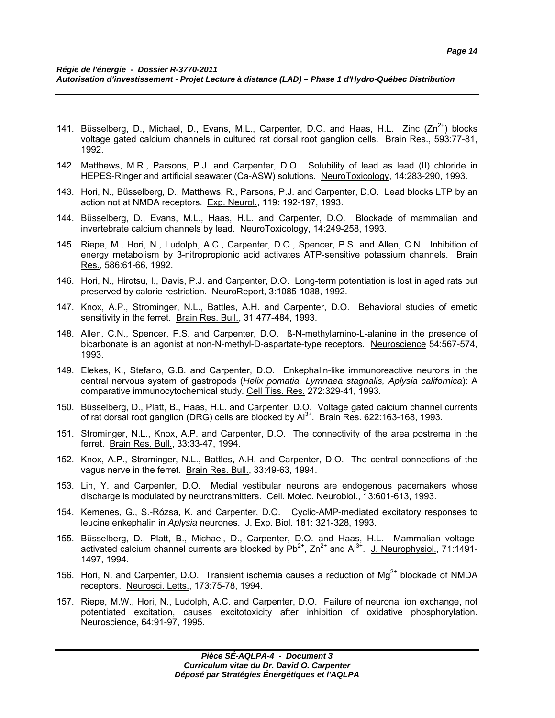- 141. Büsselberg, D., Michael, D., Evans, M.L., Carpenter, D.O. and Haas, H.L. Zinc  $(Zn^{2+})$  blocks voltage gated calcium channels in cultured rat dorsal root ganglion cells. Brain Res., 593:77-81, 1992.
- 142. Matthews, M.R., Parsons, P.J. and Carpenter, D.O. Solubility of lead as lead (II) chloride in HEPES-Ringer and artificial seawater (Ca-ASW) solutions. NeuroToxicology, 14:283-290, 1993.
- 143. Hori, N., Büsselberg, D., Matthews, R., Parsons, P.J. and Carpenter, D.O. Lead blocks LTP by an action not at NMDA receptors. Exp. Neurol., 119: 192-197, 1993.
- 144. Büsselberg, D., Evans, M.L., Haas, H.L. and Carpenter, D.O. Blockade of mammalian and invertebrate calcium channels by lead. NeuroToxicology, 14:249-258, 1993.
- 145. Riepe, M., Hori, N., Ludolph, A.C., Carpenter, D.O., Spencer, P.S. and Allen, C.N. Inhibition of energy metabolism by 3-nitropropionic acid activates ATP-sensitive potassium channels. Brain Res., 586:61-66, 1992.
- 146. Hori, N., Hirotsu, I., Davis, P.J. and Carpenter, D.O. Long-term potentiation is lost in aged rats but preserved by calorie restriction. NeuroReport, 3:1085-1088, 1992.
- 147. Knox, A.P., Strominger, N.L., Battles, A.H. and Carpenter, D.O. Behavioral studies of emetic sensitivity in the ferret. Brain Res. Bull., 31:477-484, 1993.
- 148. Allen, C.N., Spencer, P.S. and Carpenter, D.O. ß-N-methylamino-L-alanine in the presence of bicarbonate is an agonist at non-N-methyl-D-aspartate-type receptors. Neuroscience 54:567-574, 1993.
- 149. Elekes, K., Stefano, G.B. and Carpenter, D.O. Enkephalin-like immunoreactive neurons in the central nervous system of gastropods (*Helix pomatia, Lymnaea stagnalis, Aplysia californica*): A comparative immunocytochemical study. Cell Tiss. Res. 272:329-41, 1993.
- 150. Büsselberg, D., Platt, B., Haas, H.L. and Carpenter, D.O. Voltage gated calcium channel currents of rat dorsal root ganglion (DRG) cells are blocked by  $Al^{3+}$ . Brain Res. 622:163-168, 1993.
- 151. Strominger, N.L., Knox, A.P. and Carpenter, D.O. The connectivity of the area postrema in the ferret. Brain Res. Bull., 33:33-47, 1994.
- 152. Knox, A.P., Strominger, N.L., Battles, A.H. and Carpenter, D.O. The central connections of the vagus nerve in the ferret. Brain Res. Bull., 33:49-63, 1994.
- 153. Lin, Y. and Carpenter, D.O. Medial vestibular neurons are endogenous pacemakers whose discharge is modulated by neurotransmitters. Cell. Molec. Neurobiol., 13:601-613, 1993.
- 154. Kemenes, G., S.-Rózsa, K. and Carpenter, D.O. Cyclic-AMP-mediated excitatory responses to leucine enkephalin in *Aplysia* neurones. J. Exp. Biol. 181: 321-328, 1993.
- 155. Büsselberg, D., Platt, B., Michael, D., Carpenter, D.O. and Haas, H.L. Mammalian voltageactivated calcium channel currents are blocked by  $Pb^{2+}$ ,  $Zn^{2+}$  and  $Al^{3+}$ . J. Neurophysiol., 71:1491-1497, 1994.
- 156. Hori, N. and Carpenter, D.O. Transient ischemia causes a reduction of  $Mg^{2+}$  blockade of NMDA receptors. Neurosci. Letts., 173:75-78, 1994.
- 157. Riepe, M.W., Hori, N., Ludolph, A.C. and Carpenter, D.O. Failure of neuronal ion exchange, not potentiated excitation, causes excitotoxicity after inhibition of oxidative phosphorylation. Neuroscience, 64:91-97, 1995.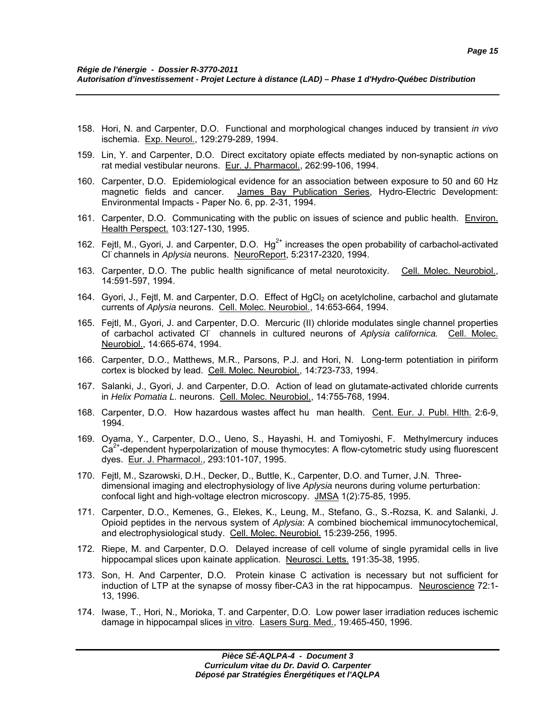- 158. Hori, N. and Carpenter, D.O. Functional and morphological changes induced by transient *in vivo* ischemia. Exp. Neurol., 129:279-289, 1994.
- 159. Lin, Y. and Carpenter, D.O. Direct excitatory opiate effects mediated by non-synaptic actions on rat medial vestibular neurons. Eur. J. Pharmacol., 262:99-106, 1994.
- 160. Carpenter, D.O. Epidemiological evidence for an association between exposure to 50 and 60 Hz magnetic fields and cancer. James Bay Publication Series, Hydro-Electric Development: Environmental Impacts - Paper No. 6, pp. 2-31, 1994.
- 161. Carpenter, D.O. Communicating with the public on issues of science and public health. Environ. Health Perspect. 103:127-130, 1995.
- 162. Fejtl, M., Gyori, J. and Carpenter, D.O.  $Hg^{2+}$  increases the open probability of carbachol-activated Cl- channels in *Aplysia* neurons. NeuroReport, 5:2317-2320, 1994.
- 163. Carpenter, D.O. The public health significance of metal neurotoxicity. Cell. Molec. Neurobiol., 14:591-597, 1994.
- 164. Gyori, J., Fejtl, M. and Carpenter, D.O. Effect of HgCl<sub>2</sub> on acetylcholine, carbachol and glutamate currents of *Aplysia* neurons. Cell. Molec. Neurobiol., 14:653-664, 1994.
- 165. Fejtl, M., Gyori, J. and Carpenter, D.O. Mercuric (II) chloride modulates single channel properties of carbachol activated Cl- channels in cultured neurons of *Aplysia californica.* Cell. Molec. Neurobiol., 14:665-674, 1994.
- 166. Carpenter, D.O., Matthews, M.R., Parsons, P.J. and Hori, N. Long-term potentiation in piriform cortex is blocked by lead. Cell. Molec. Neurobiol., 14:723-733, 1994.
- 167. Salanki, J., Gyori, J. and Carpenter, D.O. Action of lead on glutamate-activated chloride currents in *Helix Pomatia L.* neurons. Cell. Molec. Neurobiol., 14:755-768, 1994.
- 168. Carpenter, D.O. How hazardous wastes affect hu man health. Cent. Eur. J. Publ. Hlth. 2:6-9, 1994.
- 169. Oyama, Y., Carpenter, D.O., Ueno, S., Hayashi, H. and Tomiyoshi, F. Methylmercury induces  $Ca<sup>2+</sup>$ -dependent hyperpolarization of mouse thymocytes: A flow-cytometric study using fluorescent dyes. Eur. J. Pharmacol., 293:101-107, 1995.
- 170. Fejtl, M., Szarowski, D.H., Decker, D., Buttle, K., Carpenter, D.O. and Turner, J.N. Threedimensional imaging and electrophysiology of live *Aplysia* neurons during volume perturbation: confocal light and high-voltage electron microscopy. JMSA 1(2):75-85, 1995.
- 171. Carpenter, D.O., Kemenes, G., Elekes, K., Leung, M., Stefano, G., S.-Rozsa, K. and Salanki, J. Opioid peptides in the nervous system of *Aplysia*: A combined biochemical immunocytochemical, and electrophysiological study. Cell. Molec. Neurobiol. 15:239-256, 1995.
- 172. Riepe, M. and Carpenter, D.O. Delayed increase of cell volume of single pyramidal cells in live hippocampal slices upon kainate application. Neurosci. Letts. 191:35-38, 1995.
- 173. Son, H. And Carpenter, D.O. Protein kinase C activation is necessary but not sufficient for induction of LTP at the synapse of mossy fiber-CA3 in the rat hippocampus. Neuroscience 72:1- 13, 1996.
- 174. Iwase, T., Hori, N., Morioka, T. and Carpenter, D.O. Low power laser irradiation reduces ischemic damage in hippocampal slices in vitro. Lasers Surg. Med., 19:465-450, 1996.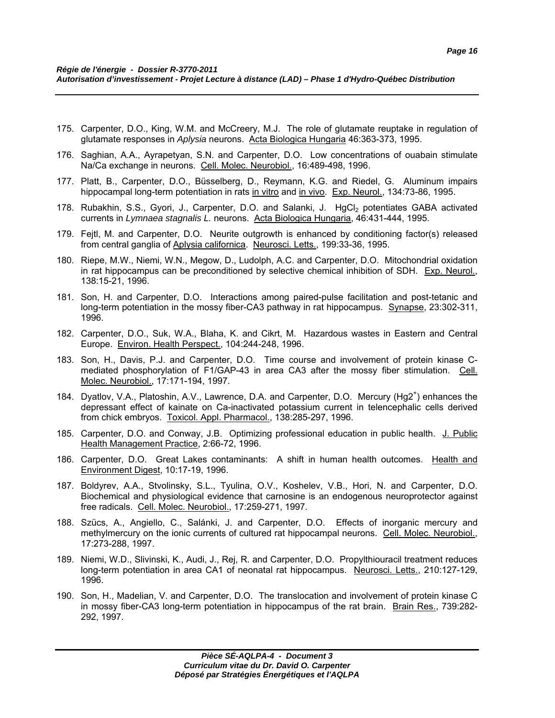- 175. Carpenter, D.O., King, W.M. and McCreery, M.J. The role of glutamate reuptake in regulation of glutamate responses in *Aplysia* neurons. Acta Biologica Hungaria 46:363-373, 1995.
- 176. Saghian, A.A., Ayrapetyan, S.N. and Carpenter, D.O. Low concentrations of ouabain stimulate Na/Ca exchange in neurons. Cell. Molec. Neurobiol., 16:489-498, 1996.
- 177. Platt, B., Carpenter, D.O., Büsselberg, D., Reymann, K.G. and Riedel, G. Aluminum impairs hippocampal long-term potentiation in rats in vitro and in vivo. Exp. Neurol., 134:73-86, 1995.
- 178. Rubakhin, S.S., Gyori, J., Carpenter, D.O. and Salanki, J. HgCl<sub>2</sub> potentiates GABA activated currents in *Lymnaea stagnalis L.* neurons. Acta Biologica Hungaria, 46:431-444, 1995.
- 179. Fejtl, M. and Carpenter, D.O. Neurite outgrowth is enhanced by conditioning factor(s) released from central ganglia of Aplysia californica. Neurosci. Letts., 199:33-36, 1995.
- 180. Riepe, M.W., Niemi, W.N., Megow, D., Ludolph, A.C. and Carpenter, D.O. Mitochondrial oxidation in rat hippocampus can be preconditioned by selective chemical inhibition of SDH. Exp. Neurol., 138:15-21, 1996.
- 181. Son, H. and Carpenter, D.O. Interactions among paired-pulse facilitation and post-tetanic and long-term potentiation in the mossy fiber-CA3 pathway in rat hippocampus. Synapse, 23:302-311, 1996.
- 182. Carpenter, D.O., Suk, W.A., Blaha, K. and Cikrt, M. Hazardous wastes in Eastern and Central Europe. Environ. Health Perspect., 104:244-248, 1996.
- 183. Son, H., Davis, P.J. and Carpenter, D.O. Time course and involvement of protein kinase Cmediated phosphorylation of F1/GAP-43 in area CA3 after the mossy fiber stimulation. Cell. Molec. Neurobiol., 17:171-194, 1997.
- 184. Dyatlov, V.A., Platoshin, A.V., Lawrence, D.A. and Carpenter, D.O. Mercury (Hg2<sup>+</sup>) enhances the depressant effect of kainate on Ca-inactivated potassium current in telencephalic cells derived from chick embryos. Toxicol. Appl. Pharmacol., 138:285-297, 1996.
- 185. Carpenter, D.O. and Conway, J.B. Optimizing professional education in public health. J. Public Health Management Practice, 2:66-72, 1996.
- 186. Carpenter, D.O. Great Lakes contaminants: A shift in human health outcomes. Health and Environment Digest, 10:17-19, 1996.
- 187. Boldyrev, A.A., Stvolinsky, S.L., Tyulina, O.V., Koshelev, V.B., Hori, N. and Carpenter, D.O. Biochemical and physiological evidence that carnosine is an endogenous neuroprotector against free radicals. Cell. Molec. Neurobiol., 17:259-271, 1997.
- 188. Szücs, A., Angiello, C., Salánki, J. and Carpenter, D.O. Effects of inorganic mercury and methylmercury on the ionic currents of cultured rat hippocampal neurons. Cell. Molec. Neurobiol., 17:273-288, 1997.
- 189. Niemi, W.D., Slivinski, K., Audi, J., Rej, R. and Carpenter, D.O. Propylthiouracil treatment reduces long-term potentiation in area CA1 of neonatal rat hippocampus. Neurosci. Letts., 210:127-129, 1996.
- 190. Son, H., Madelian, V. and Carpenter, D.O. The translocation and involvement of protein kinase C in mossy fiber-CA3 long-term potentiation in hippocampus of the rat brain. Brain Res., 739:282- 292, 1997.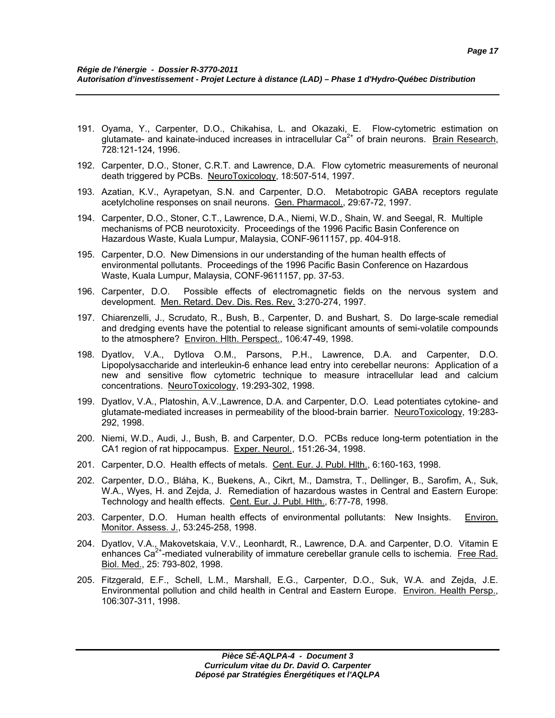- 191. Oyama, Y., Carpenter, D.O., Chikahisa, L. and Okazaki, E. Flow-cytometric estimation on glutamate- and kainate-induced increases in intracellular  $Ca<sup>2+</sup>$  of brain neurons. Brain Research, 728:121-124, 1996.
- 192. Carpenter, D.O., Stoner, C.R.T. and Lawrence, D.A. Flow cytometric measurements of neuronal death triggered by PCBs. NeuroToxicology, 18:507-514, 1997.
- 193. Azatian, K.V., Ayrapetyan, S.N. and Carpenter, D.O. Metabotropic GABA receptors regulate acetylcholine responses on snail neurons. Gen. Pharmacol., 29:67-72, 1997.
- 194. Carpenter, D.O., Stoner, C.T., Lawrence, D.A., Niemi, W.D., Shain, W. and Seegal, R. Multiple mechanisms of PCB neurotoxicity. Proceedings of the 1996 Pacific Basin Conference on Hazardous Waste, Kuala Lumpur, Malaysia, CONF-9611157, pp. 404-918.
- 195. Carpenter, D.O. New Dimensions in our understanding of the human health effects of environmental pollutants. Proceedings of the 1996 Pacific Basin Conference on Hazardous Waste, Kuala Lumpur, Malaysia, CONF-9611157, pp. 37-53.
- 196. Carpenter, D.O. Possible effects of electromagnetic fields on the nervous system and development. Men. Retard. Dev. Dis. Res. Rev. 3:270-274, 1997.
- 197. Chiarenzelli, J., Scrudato, R., Bush, B., Carpenter, D. and Bushart, S. Do large-scale remedial and dredging events have the potential to release significant amounts of semi-volatile compounds to the atmosphere? Environ. Hith. Perspect., 106:47-49, 1998.
- 198. Dyatlov, V.A., Dytlova O.M., Parsons, P.H., Lawrence, D.A. and Carpenter, D.O. Lipopolysaccharide and interleukin-6 enhance lead entry into cerebellar neurons: Application of a new and sensitive flow cytometric technique to measure intracellular lead and calcium concentrations. NeuroToxicology, 19:293-302, 1998.
- 199. Dyatlov, V.A., Platoshin, A.V.,Lawrence, D.A. and Carpenter, D.O. Lead potentiates cytokine- and glutamate-mediated increases in permeability of the blood-brain barrier. NeuroToxicology, 19:283- 292, 1998.
- 200. Niemi, W.D., Audi, J., Bush, B. and Carpenter, D.O. PCBs reduce long-term potentiation in the CA1 region of rat hippocampus. Exper. Neurol., 151:26-34, 1998.
- 201. Carpenter, D.O. Health effects of metals. Cent. Eur. J. Publ. Hlth., 6:160-163, 1998.
- 202. Carpenter, D.O., Bláha, K., Buekens, A., Cikrt, M., Damstra, T., Dellinger, B., Sarofim, A., Suk, W.A., Wyes, H. and Zejda, J. Remediation of hazardous wastes in Central and Eastern Europe: Technology and health effects. Cent. Eur. J. Publ. Hlth., 6:77-78, 1998.
- 203. Carpenter, D.O. Human health effects of environmental pollutants: New Insights. Environ. Monitor. Assess. J., 53:245-258, 1998.
- 204. Dyatlov, V.A., Makovetskaia, V.V., Leonhardt, R., Lawrence, D.A. and Carpenter, D.O. Vitamin E enhances  $Ca<sup>2+</sup>$ -mediated vulnerability of immature cerebellar granule cells to ischemia. Free Rad. Biol. Med., 25: 793-802, 1998.
- 205. Fitzgerald, E.F., Schell, L.M., Marshall, E.G., Carpenter, D.O., Suk, W.A. and Zejda, J.E. Environmental pollution and child health in Central and Eastern Europe. Environ. Health Persp., 106:307-311, 1998.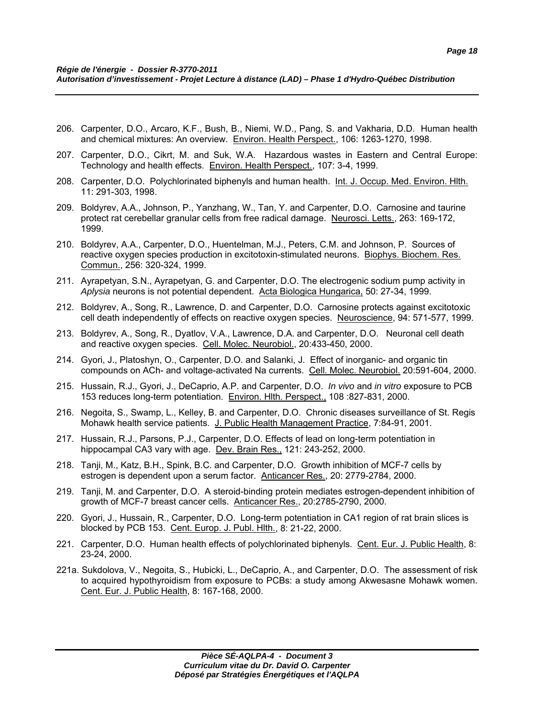- 206. Carpenter, D.O., Arcaro, K.F., Bush, B., Niemi, W.D., Pang, S. and Vakharia, D.D. Human health and chemical mixtures: An overview. Environ. Health Perspect., 106: 1263-1270, 1998.
- 207. Carpenter, D.O., Cikrt, M. and Suk, W.A. Hazardous wastes in Eastern and Central Europe: Technology and health effects. Environ. Health Perspect., 107: 3-4, 1999.
- 208. Carpenter, D.O. Polychlorinated biphenyls and human health. Int. J. Occup. Med. Environ. Hlth. 11: 291-303, 1998.
- 209. Boldyrev, A.A., Johnson, P., Yanzhang, W., Tan, Y. and Carpenter, D.O. Carnosine and taurine protect rat cerebellar granular cells from free radical damage. Neurosci. Letts., 263: 169-172, 1999.
- 210. Boldyrev, A.A., Carpenter, D.O., Huentelman, M.J., Peters, C.M. and Johnson, P. Sources of reactive oxygen species production in excitotoxin-stimulated neurons. Biophys. Biochem. Res. Commun., 256: 320-324, 1999.
- 211. Ayrapetyan, S.N., Ayrapetyan, G. and Carpenter, D.O. The electrogenic sodium pump activity in *Aplysia* neurons is not potential dependent. Acta Biologica Hungarica, 50: 27-34, 1999.
- 212. Boldyrev, A., Song, R., Lawrence, D. and Carpenter, D.O. Carnosine protects against excitotoxic cell death independently of effects on reactive oxygen species. Neuroscience, 94: 571-577, 1999.
- 213. Boldyrev, A., Song, R., Dyatlov, V.A., Lawrence, D.A. and Carpenter, D.O. Neuronal cell death and reactive oxygen species. Cell. Molec. Neurobiol., 20:433-450, 2000.
- 214. Gyori, J., Platoshyn, O., Carpenter, D.O. and Salanki, J. Effect of inorganic- and organic tin compounds on ACh- and voltage-activated Na currents. Cell. Molec. Neurobiol. 20:591-604, 2000.
- 215. Hussain, R.J., Gyori, J., DeCaprio, A.P. and Carpenter, D.O. *In vivo* and *in vitro* exposure to PCB 153 reduces long-term potentiation. Environ. Hlth. Perspect., 108 :827-831, 2000.
- 216. Negoita, S., Swamp, L., Kelley, B. and Carpenter, D.O. Chronic diseases surveillance of St. Regis Mohawk health service patients. J. Public Health Management Practice, 7:84-91, 2001.
- 217. Hussain, R.J., Parsons, P.J., Carpenter, D.O. Effects of lead on long-term potentiation in hippocampal CA3 vary with age. Dev. Brain Res., 121: 243-252, 2000.
- 218. Tanji, M., Katz, B.H., Spink, B.C. and Carpenter, D.O. Growth inhibition of MCF-7 cells by estrogen is dependent upon a serum factor. Anticancer Res., 20: 2779-2784, 2000.
- 219. Tanji, M. and Carpenter, D.O. A steroid-binding protein mediates estrogen-dependent inhibition of growth of MCF-7 breast cancer cells. Anticancer Res., 20:2785-2790, 2000.
- 220. Gyori, J., Hussain, R., Carpenter, D.O. Long-term potentiation in CA1 region of rat brain slices is blocked by PCB 153. Cent. Europ. J. Publ. Hlth., 8: 21-22, 2000.
- 221. Carpenter, D.O. Human health effects of polychlorinated biphenyls. Cent. Eur. J. Public Health, 8: 23-24, 2000.
- 221a. Sukdolova, V., Negoita, S., Hubicki, L., DeCaprio, A., and Carpenter, D.O. The assessment of risk to acquired hypothyroidism from exposure to PCBs: a study among Akwesasne Mohawk women. Cent. Eur. J. Public Health, 8: 167-168, 2000.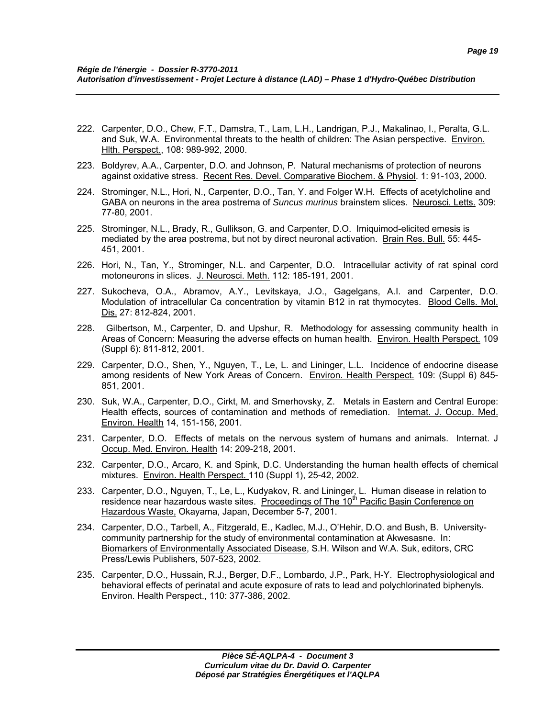- 222. Carpenter, D.O., Chew, F.T., Damstra, T., Lam, L.H., Landrigan, P.J., Makalinao, I., Peralta, G.L. and Suk, W.A. Environmental threats to the health of children: The Asian perspective. Environ. Hlth. Perspect., 108: 989-992, 2000.
- 223. Boldyrev, A.A., Carpenter, D.O. and Johnson, P. Natural mechanisms of protection of neurons against oxidative stress. Recent Res. Devel. Comparative Biochem. & Physiol. 1: 91-103, 2000.
- 224. Strominger, N.L., Hori, N., Carpenter, D.O., Tan, Y. and Folger W.H. Effects of acetylcholine and GABA on neurons in the area postrema of *Suncus murinus* brainstem slices. Neurosci. Letts. 309: 77-80, 2001.
- 225. Strominger, N.L., Brady, R., Gullikson, G. and Carpenter, D.O. Imiquimod-elicited emesis is mediated by the area postrema, but not by direct neuronal activation. Brain Res. Bull. 55: 445- 451, 2001.
- 226. Hori, N., Tan, Y., Strominger, N.L. and Carpenter, D.O. Intracellular activity of rat spinal cord motoneurons in slices. J. Neurosci. Meth. 112: 185-191, 2001.
- 227. Sukocheva, O.A., Abramov, A.Y., Levitskaya, J.O., Gagelgans, A.I. and Carpenter, D.O. Modulation of intracellular Ca concentration by vitamin B12 in rat thymocytes. Blood Cells. Mol. Dis. 27: 812-824, 2001.
- 228. Gilbertson, M., Carpenter, D. and Upshur, R. Methodology for assessing community health in Areas of Concern: Measuring the adverse effects on human health. Environ. Health Perspect. 109 (Suppl 6): 811-812, 2001.
- 229. Carpenter, D.O., Shen, Y., Nguyen, T., Le, L. and Lininger, L.L. Incidence of endocrine disease among residents of New York Areas of Concern. Environ. Health Perspect. 109: (Suppl 6) 845- 851, 2001.
- 230. Suk, W.A., Carpenter, D.O., Cirkt, M. and Smerhovsky, Z. Metals in Eastern and Central Europe: Health effects, sources of contamination and methods of remediation. Internat. J. Occup. Med. Environ. Health 14, 151-156, 2001.
- 231. Carpenter, D.O. Effects of metals on the nervous system of humans and animals. Internat. J Occup. Med. Environ. Health 14: 209-218, 2001.
- 232. Carpenter, D.O., Arcaro, K. and Spink, D.C. Understanding the human health effects of chemical mixtures. Environ. Health Perspect. 110 (Suppl 1), 25-42, 2002.
- 233. Carpenter, D.O., Nguyen, T., Le, L., Kudyakov, R. and Lininger, L. Human disease in relation to residence near hazardous waste sites. Proceedings of The 10<sup>th</sup> Pacific Basin Conference on Hazardous Waste, Okayama, Japan, December 5-7, 2001.
- 234. Carpenter, D.O., Tarbell, A., Fitzgerald, E., Kadlec, M.J., O'Hehir, D.O. and Bush, B. Universitycommunity partnership for the study of environmental contamination at Akwesasne. In: Biomarkers of Environmentally Associated Disease, S.H. Wilson and W.A. Suk, editors, CRC Press/Lewis Publishers, 507-523, 2002.
- 235. Carpenter, D.O., Hussain, R.J., Berger, D.F., Lombardo, J.P., Park, H-Y. Electrophysiological and behavioral effects of perinatal and acute exposure of rats to lead and polychlorinated biphenyls. Environ. Health Perspect., 110: 377-386, 2002.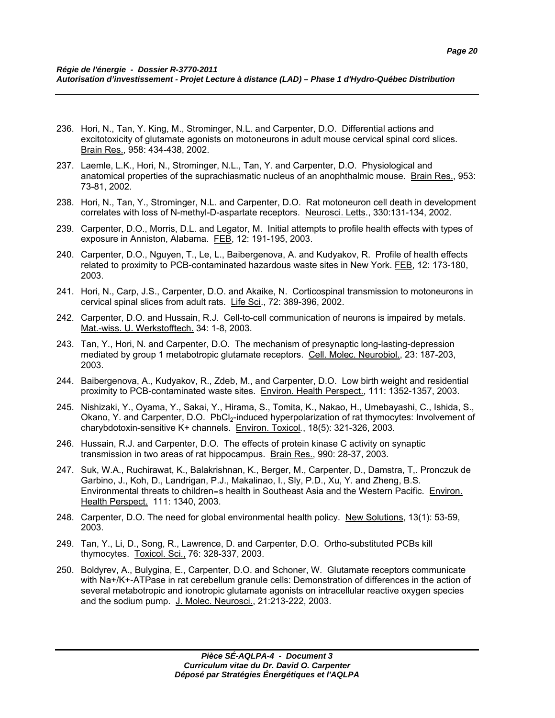- 236. Hori, N., Tan, Y. King, M., Strominger, N.L. and Carpenter, D.O. Differential actions and excitotoxicity of glutamate agonists on motoneurons in adult mouse cervical spinal cord slices. Brain Res., 958: 434-438, 2002.
- 237. Laemle, L.K., Hori, N., Strominger, N.L., Tan, Y. and Carpenter, D.O. Physiological and anatomical properties of the suprachiasmatic nucleus of an anophthalmic mouse. Brain Res., 953: 73-81, 2002.
- 238. Hori, N., Tan, Y., Strominger, N.L. and Carpenter, D.O. Rat motoneuron cell death in development correlates with loss of N-methyl-D-aspartate receptors. Neurosci. Letts., 330:131-134, 2002.
- 239. Carpenter, D.O., Morris, D.L. and Legator, M. Initial attempts to profile health effects with types of exposure in Anniston, Alabama. FEB, 12: 191-195, 2003.
- 240. Carpenter, D.O., Nguyen, T., Le, L., Baibergenova, A. and Kudyakov, R. Profile of health effects related to proximity to PCB-contaminated hazardous waste sites in New York. FEB, 12: 173-180, 2003.
- 241. Hori, N., Carp, J.S., Carpenter, D.O. and Akaike, N. Corticospinal transmission to motoneurons in cervical spinal slices from adult rats. Life Sci., 72: 389-396, 2002.
- 242. Carpenter, D.O. and Hussain, R.J. Cell-to-cell communication of neurons is impaired by metals. Mat.-wiss. U. Werkstofftech. 34: 1-8, 2003.
- 243. Tan, Y., Hori, N. and Carpenter, D.O. The mechanism of presynaptic long-lasting-depression mediated by group 1 metabotropic glutamate receptors. Cell. Molec. Neurobiol., 23: 187-203, 2003.
- 244. Baibergenova, A., Kudyakov, R., Zdeb, M., and Carpenter, D.O. Low birth weight and residential proximity to PCB-contaminated waste sites. Environ. Health Perspect., 111: 1352-1357, 2003.
- 245. Nishizaki, Y., Oyama, Y., Sakai, Y., Hirama, S., Tomita, K., Nakao, H., Umebayashi, C., Ishida, S., Okano, Y. and Carpenter, D.O. PbCl<sub>2</sub>-induced hyperpolarization of rat thymocytes: Involvement of charybdotoxin-sensitive K+ channels. Environ. Toxicol*.*, 18(5): 321-326, 2003.
- 246. Hussain, R.J. and Carpenter, D.O. The effects of protein kinase C activity on synaptic transmission in two areas of rat hippocampus. Brain Res., 990: 28-37, 2003.
- 247. Suk, W.A., Ruchirawat, K., Balakrishnan, K., Berger, M., Carpenter, D., Damstra, T,. Pronczuk de Garbino, J., Koh, D., Landrigan, P.J., Makalinao, I., Sly, P.D., Xu, Y. and Zheng, B.S. Environmental threats to children=s health in Southeast Asia and the Western Pacific. Environ. Health Perspect. 111: 1340, 2003.
- 248. Carpenter, D.O. The need for global environmental health policy. New Solutions, 13(1): 53-59, 2003.
- 249. Tan, Y., Li, D., Song, R., Lawrence, D. and Carpenter, D.O. Ortho-substituted PCBs kill thymocytes. Toxicol. Sci., 76: 328-337, 2003.
- 250. Boldyrev, A., Bulygina, E., Carpenter, D.O. and Schoner, W. Glutamate receptors communicate with Na+/K+-ATPase in rat cerebellum granule cells: Demonstration of differences in the action of several metabotropic and ionotropic glutamate agonists on intracellular reactive oxygen species and the sodium pump. J. Molec. Neurosci., 21:213-222, 2003.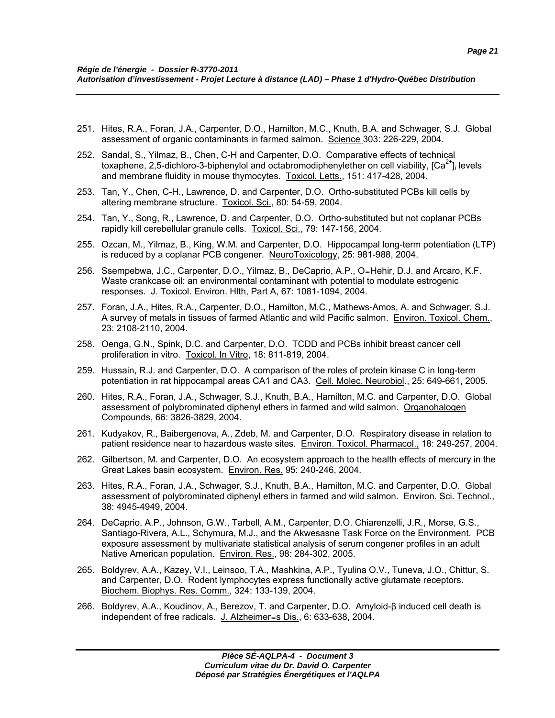- 251. Hites, R.A., Foran, J.A., Carpenter, D.O., Hamilton, M.C., Knuth, B.A. and Schwager, S.J. Global assessment of organic contaminants in farmed salmon. Science 303: 226-229, 2004.
- 252. Sandal, S., Yilmaz, B., Chen, C-H and Carpenter, D.O. Comparative effects of technical toxaphene, 2,5-dichloro-3-biphenylol and octabromodiphenylether on cell viability,  $[Ca^{2+}]$  levels and membrane fluidity in mouse thymocytes. Toxicol. Letts., 151: 417-428, 2004.
- 253. Tan, Y., Chen, C-H., Lawrence, D. and Carpenter, D.O. Ortho-substituted PCBs kill cells by altering membrane structure. Toxicol. Sci., 80: 54-59, 2004.
- 254. Tan, Y., Song, R., Lawrence, D. and Carpenter, D.O. Ortho-substituted but not coplanar PCBs rapidly kill cerebellular granule cells. Toxicol. Sci., 79: 147-156, 2004.
- 255. Ozcan, M., Yilmaz, B., King, W.M. and Carpenter, D.O. Hippocampal long-term potentiation (LTP) is reduced by a coplanar PCB congener. NeuroToxicology, 25: 981-988, 2004.
- 256. Ssempebwa, J.C., Carpenter, D.O., Yilmaz, B., DeCaprio, A.P., O=Hehir, D.J. and Arcaro, K.F. Waste crankcase oil: an environmental contaminant with potential to modulate estrogenic responses. J. Toxicol. Environ. Hlth, Part A, 67: 1081-1094, 2004.
- 257. Foran, J.A., Hites, R.A., Carpenter, D.O., Hamilton, M.C., Mathews-Amos, A. and Schwager, S.J. A survey of metals in tissues of farmed Atlantic and wild Pacific salmon. Environ. Toxicol. Chem., 23: 2108-2110, 2004.
- 258. Oenga, G.N., Spink, D.C. and Carpenter, D.O. TCDD and PCBs inhibit breast cancer cell proliferation in vitro. Toxicol. In Vitro, 18: 811-819, 2004.
- 259. Hussain, R.J. and Carpenter, D.O. A comparison of the roles of protein kinase C in long-term potentiation in rat hippocampal areas CA1 and CA3. Cell. Molec. Neurobiol., 25: 649-661, 2005.
- 260. Hites, R.A., Foran, J.A., Schwager, S.J., Knuth, B.A., Hamilton, M.C. and Carpenter, D.O. Global assessment of polybrominated diphenyl ethers in farmed and wild salmon. Organohalogen Compounds, 66: 3826-3829, 2004.
- 261. Kudyakov, R., Baibergenova, A., Zdeb, M. and Carpenter, D.O. Respiratory disease in relation to patient residence near to hazardous waste sites. Environ. Toxicol. Pharmacol., 18: 249-257, 2004.
- 262. Gilbertson, M. and Carpenter, D.O. An ecosystem approach to the health effects of mercury in the Great Lakes basin ecosystem. Environ. Res. 95: 240-246, 2004.
- 263. Hites, R.A., Foran, J.A., Schwager, S.J., Knuth, B.A., Hamilton, M.C. and Carpenter, D.O. Global assessment of polybrominated diphenyl ethers in farmed and wild salmon. Environ. Sci. Technol., 38: 4945-4949, 2004.
- 264. DeCaprio, A.P., Johnson, G.W., Tarbell, A.M., Carpenter, D.O. Chiarenzelli, J.R., Morse, G.S., Santiago-Rivera, A.L., Schymura, M.J., and the Akwesasne Task Force on the Environment. PCB exposure assessment by multivariate statistical analysis of serum congener profiles in an adult Native American population. Environ. Res., 98: 284-302, 2005.
- 265. Boldyrev, A.A., Kazey, V.I., Leinsoo, T.A., Mashkina, A.P., Tyulina O.V., Tuneva, J.O., Chittur, S. and Carpenter, D.O. Rodent lymphocytes express functionally active glutamate receptors. Biochem. Biophys. Res. Comm., 324: 133-139, 2004.
- 266. Boldyrev, A.A., Koudinov, A., Berezov, T. and Carpenter, D.O. Amyloid-β induced cell death is independent of free radicals. J. Alzheimer=s Dis., 6: 633-638, 2004.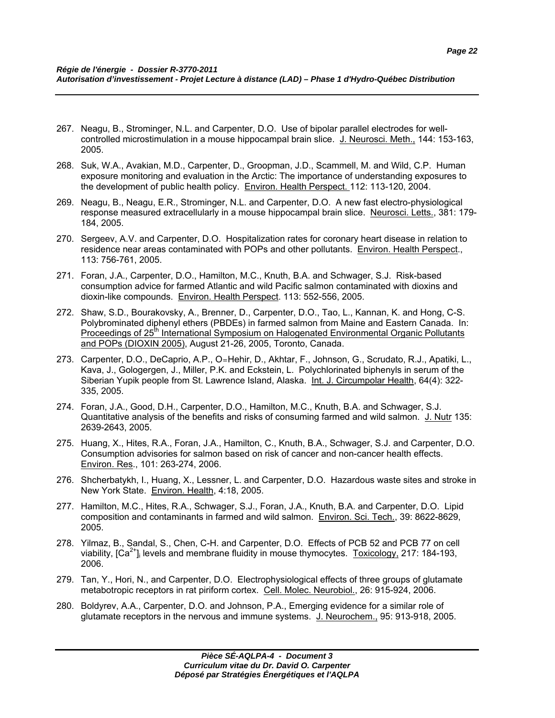- 267. Neagu, B., Strominger, N.L. and Carpenter, D.O. Use of bipolar parallel electrodes for wellcontrolled microstimulation in a mouse hippocampal brain slice. J. Neurosci. Meth., 144: 153-163, 2005.
- 268. Suk, W.A., Avakian, M.D., Carpenter, D., Groopman, J.D., Scammell, M. and Wild, C.P. Human exposure monitoring and evaluation in the Arctic: The importance of understanding exposures to the development of public health policy. Environ. Health Perspect. 112: 113-120, 2004.
- 269. Neagu, B., Neagu, E.R., Strominger, N.L. and Carpenter, D.O. A new fast electro-physiological response measured extracellularly in a mouse hippocampal brain slice. Neurosci. Letts., 381: 179- 184, 2005.
- 270. Sergeev, A.V. and Carpenter, D.O. Hospitalization rates for coronary heart disease in relation to residence near areas contaminated with POPs and other pollutants. Environ. Health Perspect., 113: 756-761, 2005.
- 271. Foran, J.A., Carpenter, D.O., Hamilton, M.C., Knuth, B.A. and Schwager, S.J. Risk-based consumption advice for farmed Atlantic and wild Pacific salmon contaminated with dioxins and dioxin-like compounds. Environ. Health Perspect. 113: 552-556, 2005.
- 272. Shaw, S.D., Bourakovsky, A., Brenner, D., Carpenter, D.O., Tao, L., Kannan, K. and Hong, C-S. Polybrominated diphenyl ethers (PBDEs) in farmed salmon from Maine and Eastern Canada. In: Proceedings of 25<sup>th</sup> International Symposium on Halogenated Environmental Organic Pollutants and POPs (DIOXIN 2005), August 21-26, 2005, Toronto, Canada.
- 273. Carpenter, D.O., DeCaprio, A.P., O=Hehir, D., Akhtar, F., Johnson, G., Scrudato, R.J., Apatiki, L., Kava, J., Gologergen, J., Miller, P.K. and Eckstein, L. Polychlorinated biphenyls in serum of the Siberian Yupik people from St. Lawrence Island, Alaska. Int. J. Circumpolar Health, 64(4): 322- 335, 2005.
- 274. Foran, J.A., Good, D.H., Carpenter, D.O., Hamilton, M.C., Knuth, B.A. and Schwager, S.J. Quantitative analysis of the benefits and risks of consuming farmed and wild salmon. J. Nutr 135: 2639-2643, 2005.
- 275. Huang, X., Hites, R.A., Foran, J.A., Hamilton, C., Knuth, B.A., Schwager, S.J. and Carpenter, D.O. Consumption advisories for salmon based on risk of cancer and non-cancer health effects. Environ. Res., 101: 263-274, 2006.
- 276. Shcherbatykh, I., Huang, X., Lessner, L. and Carpenter, D.O. Hazardous waste sites and stroke in New York State. Environ. Health, 4:18, 2005.
- 277. Hamilton, M.C., Hites, R.A., Schwager, S.J., Foran, J.A., Knuth, B.A. and Carpenter, D.O. Lipid composition and contaminants in farmed and wild salmon. Environ. Sci. Tech., 39: 8622-8629, 2005.
- 278. Yilmaz, B., Sandal, S., Chen, C-H. and Carpenter, D.O. Effects of PCB 52 and PCB 77 on cell viability,  $[Ca^{2+}$ ] levels and membrane fluidity in mouse thymocytes. Toxicology, 217: 184-193, 2006.
- 279. Tan, Y., Hori, N., and Carpenter, D.O. Electrophysiological effects of three groups of glutamate metabotropic receptors in rat piriform cortex. Cell. Molec. Neurobiol., 26: 915-924, 2006.
- 280. Boldyrev, A.A., Carpenter, D.O. and Johnson, P.A., Emerging evidence for a similar role of glutamate receptors in the nervous and immune systems. J. Neurochem., 95: 913-918, 2005.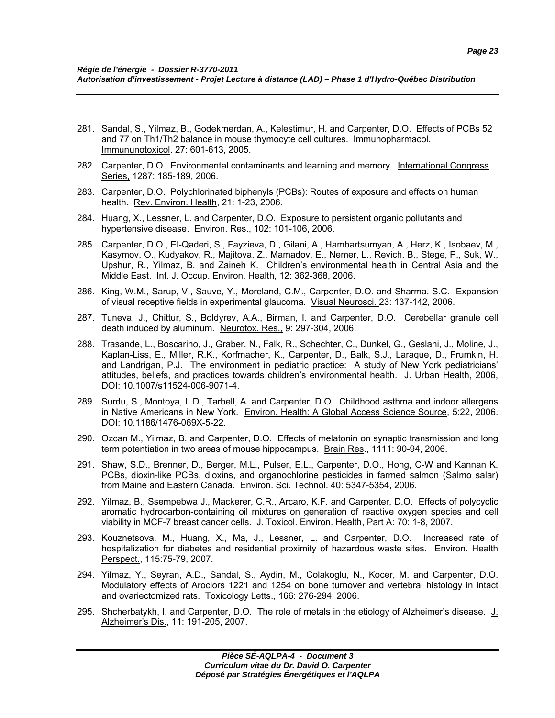- 281. Sandal, S., Yilmaz, B., Godekmerdan, A., Kelestimur, H. and Carpenter, D.O. Effects of PCBs 52 and 77 on Th1/Th2 balance in mouse thymocyte cell cultures. Immunopharmacol. Immununotoxicol. 27: 601-613, 2005.
- 282. Carpenter, D.O. Environmental contaminants and learning and memory. International Congress Series, 1287: 185-189, 2006.
- 283. Carpenter, D.O. Polychlorinated biphenyls (PCBs): Routes of exposure and effects on human health. Rev. Environ. Health, 21: 1-23, 2006.
- 284. Huang, X., Lessner, L. and Carpenter, D.O. Exposure to persistent organic pollutants and hypertensive disease. Environ. Res., 102: 101-106, 2006.
- 285. Carpenter, D.O., El-Qaderi, S., Fayzieva, D., Gilani, A., Hambartsumyan, A., Herz, K., Isobaev, M., Kasymov, O., Kudyakov, R., Majitova, Z., Mamadov, E., Nemer, L., Revich, B., Stege, P., Suk, W., Upshur, R., Yilmaz, B. and Zaineh K. Children's environmental health in Central Asia and the Middle East. Int. J. Occup. Environ. Health, 12: 362-368, 2006.
- 286. King, W.M., Sarup, V., Sauve, Y., Moreland, C.M., Carpenter, D.O. and Sharma. S.C. Expansion of visual receptive fields in experimental glaucoma. Visual Neurosci. 23: 137-142, 2006.
- 287. Tuneva, J., Chittur, S., Boldyrev, A.A., Birman, I. and Carpenter, D.O. Cerebellar granule cell death induced by aluminum. Neurotox. Res., 9: 297-304, 2006.
- 288. Trasande, L., Boscarino, J., Graber, N., Falk, R., Schechter, C., Dunkel, G., Geslani, J., Moline, J., Kaplan-Liss, E., Miller, R.K., Korfmacher, K., Carpenter, D., Balk, S.J., Laraque, D., Frumkin, H. and Landrigan, P.J. The environment in pediatric practice: A study of New York pediatricians' attitudes, beliefs, and practices towards children's environmental health. J. Urban Health, 2006, DOI: 10.1007/s11524-006-9071-4.
- 289. Surdu, S., Montoya, L.D., Tarbell, A. and Carpenter, D.O. Childhood asthma and indoor allergens in Native Americans in New York. Environ. Health: A Global Access Science Source, 5:22, 2006. DOI: 10.1186/1476-069X-5-22.
- 290. Ozcan M., Yilmaz, B. and Carpenter, D.O. Effects of melatonin on synaptic transmission and long term potentiation in two areas of mouse hippocampus. Brain Res., 1111: 90-94, 2006.
- 291. Shaw, S.D., Brenner, D., Berger, M.L., Pulser, E.L., Carpenter, D.O., Hong, C-W and Kannan K. PCBs, dioxin-like PCBs, dioxins, and organochlorine pesticides in farmed salmon (Salmo salar) from Maine and Eastern Canada. Environ. Sci. Technol. 40: 5347-5354, 2006.
- 292. Yilmaz, B., Ssempebwa J., Mackerer, C.R., Arcaro, K.F. and Carpenter, D.O. Effects of polycyclic aromatic hydrocarbon-containing oil mixtures on generation of reactive oxygen species and cell viability in MCF-7 breast cancer cells. J. Toxicol. Environ. Health, Part A: 70: 1-8, 2007.
- 293. Kouznetsova, M., Huang, X., Ma, J., Lessner, L. and Carpenter, D.O. Increased rate of hospitalization for diabetes and residential proximity of hazardous waste sites. Environ. Health Perspect., 115:75-79, 2007.
- 294. Yilmaz, Y., Seyran, A.D., Sandal, S., Aydin, M., Colakoglu, N., Kocer, M. and Carpenter, D.O. Modulatory effects of Aroclors 1221 and 1254 on bone turnover and vertebral histology in intact and ovariectomized rats. Toxicology Letts., 166: 276-294, 2006.
- 295. Shcherbatykh, I. and Carpenter, D.O. The role of metals in the etiology of Alzheimer's disease. J. Alzheimer's Dis., 11: 191-205, 2007.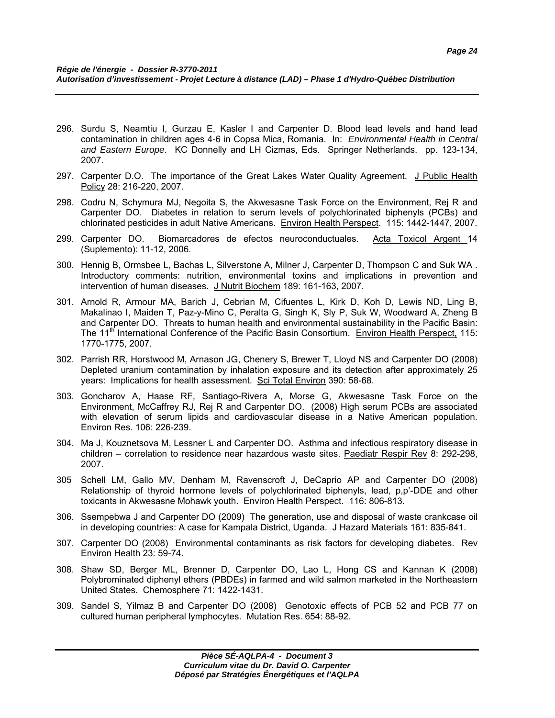- 296. Surdu S, Neamtiu I, Gurzau E, Kasler I and Carpenter D. Blood lead levels and hand lead contamination in children ages 4-6 in Copsa Mica, Romania. In: *Environmental Health in Central and Eastern Europe*. KC Donnelly and LH Cizmas, Eds. Springer Netherlands. pp. 123-134, 2007.
- 297. Carpenter D.O. The importance of the Great Lakes Water Quality Agreement. J Public Health Policy 28: 216-220, 2007.
- 298. Codru N, Schymura MJ, Negoita S, the Akwesasne Task Force on the Environment, Rej R and Carpenter DO. Diabetes in relation to serum levels of polychlorinated biphenyls (PCBs) and chlorinated pesticides in adult Native Americans. Environ Health Perspect. 115: 1442-1447, 2007.
- 299. Carpenter DO. Biomarcadores de efectos neuroconductuales. Acta Toxicol Argent 14 (Suplemento): 11-12, 2006.
- 300. Hennig B, Ormsbee L, Bachas L, Silverstone A, Milner J, Carpenter D, Thompson C and Suk WA . Introductory comments: nutrition, environmental toxins and implications in prevention and intervention of human diseases. J Nutrit Biochem 189: 161-163, 2007.
- 301. Arnold R, Armour MA, Barich J, Cebrian M, Cifuentes L, Kirk D, Koh D, Lewis ND, Ling B, Makalinao I, Maiden T, Paz-y-Mino C, Peralta G, Singh K, Sly P, Suk W, Woodward A, Zheng B and Carpenter DO. Threats to human health and environmental sustainability in the Pacific Basin: The 11<sup>th</sup> International Conference of the Pacific Basin Consortium. Environ Health Perspect, 115: 1770-1775, 2007.
- 302. Parrish RR, Horstwood M, Arnason JG, Chenery S, Brewer T, Lloyd NS and Carpenter DO (2008) Depleted uranium contamination by inhalation exposure and its detection after approximately 25 years: Implications for health assessment. Sci Total Environ 390: 58-68.
- 303. Goncharov A, Haase RF, Santiago-Rivera A, Morse G, Akwesasne Task Force on the Environment, McCaffrey RJ, Rej R and Carpenter DO. (2008) High serum PCBs are associated with elevation of serum lipids and cardiovascular disease in a Native American population. Environ Res. 106: 226-239.
- 304. Ma J, Kouznetsova M, Lessner L and Carpenter DO. Asthma and infectious respiratory disease in children – correlation to residence near hazardous waste sites. Paediatr Respir Rev 8: 292-298, 2007.
- 305 Schell LM, Gallo MV, Denham M, Ravenscroft J, DeCaprio AP and Carpenter DO (2008) Relationship of thyroid hormone levels of polychlorinated biphenyls, lead, p,p'-DDE and other toxicants in Akwesasne Mohawk youth. Environ Health Perspect. 116: 806-813.
- 306. Ssempebwa J and Carpenter DO (2009) The generation, use and disposal of waste crankcase oil in developing countries: A case for Kampala District, Uganda. J Hazard Materials 161: 835-841.
- 307. Carpenter DO (2008) Environmental contaminants as risk factors for developing diabetes. Rev Environ Health 23: 59-74.
- 308. Shaw SD, Berger ML, Brenner D, Carpenter DO, Lao L, Hong CS and Kannan K (2008) Polybrominated diphenyl ethers (PBDEs) in farmed and wild salmon marketed in the Northeastern United States. Chemosphere 71: 1422-1431.
- 309. Sandel S, Yilmaz B and Carpenter DO (2008) Genotoxic effects of PCB 52 and PCB 77 on cultured human peripheral lymphocytes. Mutation Res. 654: 88-92.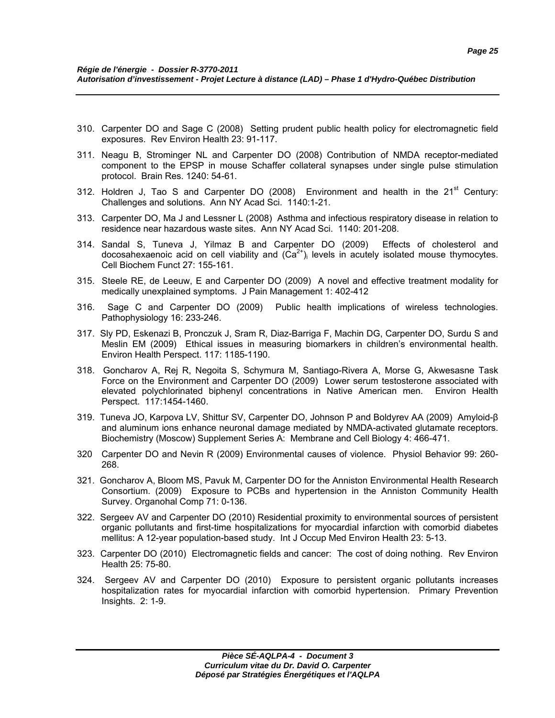- 310. Carpenter DO and Sage C (2008) Setting prudent public health policy for electromagnetic field exposures. Rev Environ Health 23: 91-117.
- 311. Neagu B, Strominger NL and Carpenter DO (2008) Contribution of NMDA receptor-mediated component to the EPSP in mouse Schaffer collateral synapses under single pulse stimulation protocol. Brain Res. 1240: 54-61.
- 312. Holdren J, Tao S and Carpenter DO  $(2008)$  Environment and health in the  $21<sup>st</sup>$  Century: Challenges and solutions. Ann NY Acad Sci. 1140:1-21.
- 313. Carpenter DO, Ma J and Lessner L (2008) Asthma and infectious respiratory disease in relation to residence near hazardous waste sites. Ann NY Acad Sci. 1140: 201-208.
- 314. Sandal S, Tuneva J, Yilmaz B and Carpenter DO (2009) Effects of cholesterol and docosahexaenoic acid on cell viability and  $(Ca^{2+})$  levels in acutely isolated mouse thymocytes. Cell Biochem Funct 27: 155-161.
- 315. Steele RE, de Leeuw, E and Carpenter DO (2009) A novel and effective treatment modality for medically unexplained symptoms. J Pain Management 1: 402-412
- 316. Sage C and Carpenter DO (2009) Public health implications of wireless technologies. Pathophysiology 16: 233-246.
- 317. Sly PD, Eskenazi B, Pronczuk J, Sram R, Diaz-Barriga F, Machin DG, Carpenter DO, Surdu S and Meslin EM (2009) Ethical issues in measuring biomarkers in children's environmental health. Environ Health Perspect. 117: 1185-1190.
- 318. Goncharov A, Rej R, Negoita S, Schymura M, Santiago-Rivera A, Morse G, Akwesasne Task Force on the Environment and Carpenter DO (2009) Lower serum testosterone associated with elevated polychlorinated biphenyl concentrations in Native American men. Environ Health Perspect. 117:1454-1460.
- 319. Tuneva JO, Karpova LV, Shittur SV, Carpenter DO, Johnson P and Boldyrev AA (2009) Amyloid-β and aluminum ions enhance neuronal damage mediated by NMDA-activated glutamate receptors. Biochemistry (Moscow) Supplement Series A: Membrane and Cell Biology 4: 466-471.
- 320 Carpenter DO and Nevin R (2009) Environmental causes of violence. Physiol Behavior 99: 260- 268.
- 321. Goncharov A, Bloom MS, Pavuk M, Carpenter DO for the Anniston Environmental Health Research Consortium. (2009) Exposure to PCBs and hypertension in the Anniston Community Health Survey. Organohal Comp 71: 0-136.
- 322. Sergeev AV and Carpenter DO (2010) Residential proximity to environmental sources of persistent organic pollutants and first-time hospitalizations for myocardial infarction with comorbid diabetes mellitus: A 12-year population-based study. Int J Occup Med Environ Health 23: 5-13.
- 323. Carpenter DO (2010) Electromagnetic fields and cancer: The cost of doing nothing. Rev Environ Health 25: 75-80.
- 324. Sergeev AV and Carpenter DO (2010) Exposure to persistent organic pollutants increases hospitalization rates for myocardial infarction with comorbid hypertension. Primary Prevention Insights. 2: 1-9.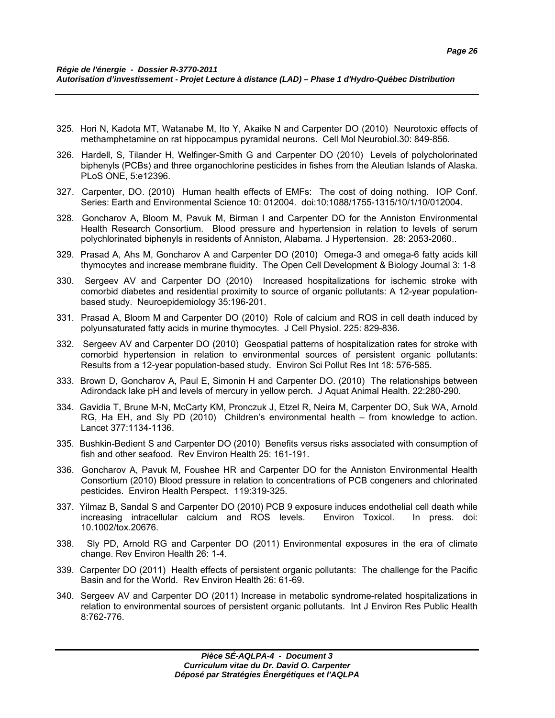- 325. Hori N, Kadota MT, Watanabe M, Ito Y, Akaike N and Carpenter DO (2010) Neurotoxic effects of methamphetamine on rat hippocampus pyramidal neurons. Cell Mol Neurobiol.30: 849-856.
- 326. Hardell, S, Tilander H, Welfinger-Smith G and Carpenter DO (2010) Levels of polycholorinated biphenyls (PCBs) and three organochlorine pesticides in fishes from the Aleutian Islands of Alaska. PLoS ONE, 5:e12396.
- 327. Carpenter, DO. (2010) Human health effects of EMFs: The cost of doing nothing. IOP Conf. Series: Earth and Environmental Science 10: 012004. doi:10:1088/1755-1315/10/1/10/012004.
- 328. Goncharov A, Bloom M, Pavuk M, Birman I and Carpenter DO for the Anniston Environmental Health Research Consortium. Blood pressure and hypertension in relation to levels of serum polychlorinated biphenyls in residents of Anniston, Alabama. J Hypertension. 28: 2053-2060..
- 329. Prasad A, Ahs M, Goncharov A and Carpenter DO (2010) Omega-3 and omega-6 fatty acids kill thymocytes and increase membrane fluidity. The Open Cell Development & Biology Journal 3: 1-8
- 330. Sergeev AV and Carpenter DO (2010) Increased hospitalizations for ischemic stroke with comorbid diabetes and residential proximity to source of organic pollutants: A 12-year populationbased study. Neuroepidemiology 35:196-201.
- 331. Prasad A, Bloom M and Carpenter DO (2010) Role of calcium and ROS in cell death induced by polyunsaturated fatty acids in murine thymocytes. J Cell Physiol. 225: 829-836.
- 332. Sergeev AV and Carpenter DO (2010) Geospatial patterns of hospitalization rates for stroke with comorbid hypertension in relation to environmental sources of persistent organic pollutants: Results from a 12-year population-based study. Environ Sci Pollut Res Int 18: 576-585.
- 333. Brown D, Goncharov A, Paul E, Simonin H and Carpenter DO. (2010) The relationships between Adirondack lake pH and levels of mercury in yellow perch. J Aquat Animal Health. 22:280-290.
- 334. Gavidia T, Brune M-N, McCarty KM, Pronczuk J, Etzel R, Neira M, Carpenter DO, Suk WA, Arnold RG, Ha EH, and Sly PD (2010) Children's environmental health – from knowledge to action. Lancet 377:1134-1136.
- 335. Bushkin-Bedient S and Carpenter DO (2010) Benefits versus risks associated with consumption of fish and other seafood. Rev Environ Health 25: 161-191.
- 336. Goncharov A, Pavuk M, Foushee HR and Carpenter DO for the Anniston Environmental Health Consortium (2010) Blood pressure in relation to concentrations of PCB congeners and chlorinated pesticides. Environ Health Perspect. 119:319-325.
- 337. Yilmaz B, Sandal S and Carpenter DO (2010) PCB 9 exposure induces endothelial cell death while increasing intracellular calcium and ROS levels. Environ Toxicol. In press. doi: 10.1002/tox.20676.
- 338. Sly PD, Arnold RG and Carpenter DO (2011) Environmental exposures in the era of climate change. Rev Environ Health 26: 1-4.
- 339. Carpenter DO (2011) Health effects of persistent organic pollutants: The challenge for the Pacific Basin and for the World. Rev Environ Health 26: 61-69.
- 340. Sergeev AV and Carpenter DO (2011) Increase in metabolic syndrome-related hospitalizations in relation to environmental sources of persistent organic pollutants. Int J Environ Res Public Health 8:762-776.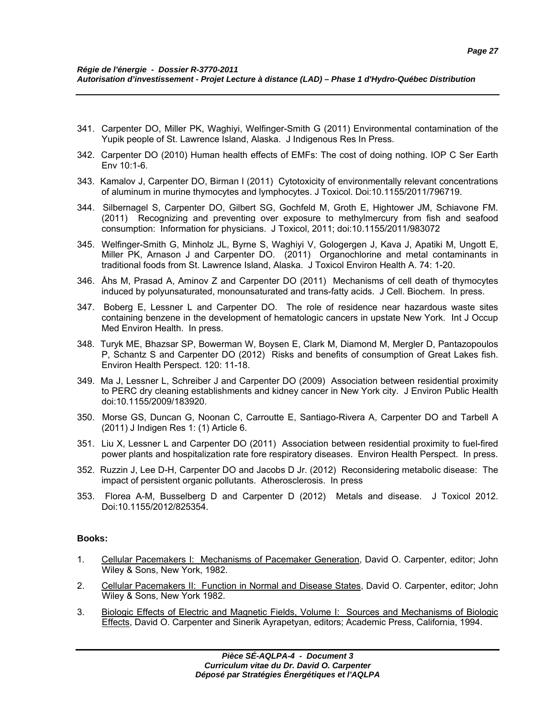- 341. Carpenter DO, Miller PK, Waghiyi, Welfinger-Smith G (2011) Environmental contamination of the Yupik people of St. Lawrence Island, Alaska. J Indigenous Res In Press.
- 342. Carpenter DO (2010) Human health effects of EMFs: The cost of doing nothing. IOP C Ser Earth Env 10:1-6.
- 343. Kamalov J, Carpenter DO, Birman I (2011) Cytotoxicity of environmentally relevant concentrations of aluminum in murine thymocytes and lymphocytes. J Toxicol. Doi:10.1155/2011/796719.
- 344. Silbernagel S, Carpenter DO, Gilbert SG, Gochfeld M, Groth E, Hightower JM, Schiavone FM. (2011) Recognizing and preventing over exposure to methylmercury from fish and seafood consumption: Information for physicians. J Toxicol, 2011; doi:10.1155/2011/983072
- 345. Welfinger-Smith G, Minholz JL, Byrne S, Waghiyi V, Gologergen J, Kava J, Apatiki M, Ungott E, Miller PK, Arnason J and Carpenter DO. (2011) Organochlorine and metal contaminants in traditional foods from St. Lawrence Island, Alaska. J Toxicol Environ Health A. 74: 1-20.
- 346. Åhs M, Prasad A, Aminov Z and Carpenter DO (2011) Mechanisms of cell death of thymocytes induced by polyunsaturated, monounsaturated and trans-fatty acids. J Cell. Biochem. In press.
- 347. Boberg E, Lessner L and Carpenter DO. The role of residence near hazardous waste sites containing benzene in the development of hematologic cancers in upstate New York. Int J Occup Med Environ Health. In press.
- 348. Turyk ME, Bhazsar SP, Bowerman W, Boysen E, Clark M, Diamond M, Mergler D, Pantazopoulos P, Schantz S and Carpenter DO (2012) Risks and benefits of consumption of Great Lakes fish. Environ Health Perspect. 120: 11-18.
- 349. Ma J, Lessner L, Schreiber J and Carpenter DO (2009) Association between residential proximity to PERC dry cleaning establishments and kidney cancer in New York city. J Environ Public Health doi:10.1155/2009/183920.
- 350. Morse GS, Duncan G, Noonan C, Carroutte E, Santiago-Rivera A, Carpenter DO and Tarbell A (2011) J Indigen Res 1: (1) Article 6.
- 351. Liu X, Lessner L and Carpenter DO (2011) Association between residential proximity to fuel-fired power plants and hospitalization rate fore respiratory diseases. Environ Health Perspect. In press.
- 352. Ruzzin J, Lee D-H, Carpenter DO and Jacobs D Jr. (2012) Reconsidering metabolic disease: The impact of persistent organic pollutants. Atherosclerosis. In press
- 353. Florea A-M, Busselberg D and Carpenter D (2012) Metals and disease. J Toxicol 2012. Doi:10.1155/2012/825354.

### **Books:**

- 1. Cellular Pacemakers I: Mechanisms of Pacemaker Generation, David O. Carpenter, editor; John Wiley & Sons, New York, 1982.
- 2. Cellular Pacemakers II: Function in Normal and Disease States, David O. Carpenter, editor; John Wiley & Sons, New York 1982.
- 3. Biologic Effects of Electric and Magnetic Fields, Volume I: Sources and Mechanisms of Biologic Effects, David O. Carpenter and Sinerik Ayrapetyan, editors; Academic Press, California, 1994.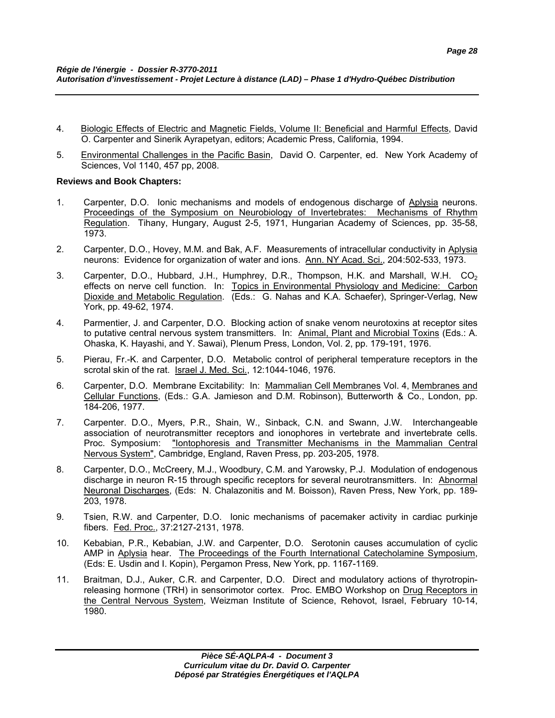- 4. Biologic Effects of Electric and Magnetic Fields, Volume II: Beneficial and Harmful Effects, David O. Carpenter and Sinerik Ayrapetyan, editors; Academic Press, California, 1994.
- 5. Environmental Challenges in the Pacific Basin, David O. Carpenter, ed. New York Academy of Sciences, Vol 1140, 457 pp, 2008.

### **Reviews and Book Chapters:**

- 1. Carpenter, D.O. Ionic mechanisms and models of endogenous discharge of Aplysia neurons. Proceedings of the Symposium on Neurobiology of Invertebrates: Mechanisms of Rhythm Regulation. Tihany, Hungary, August 2-5, 1971, Hungarian Academy of Sciences, pp. 35-58, 1973.
- 2. Carpenter, D.O., Hovey, M.M. and Bak, A.F. Measurements of intracellular conductivity in Aplysia neurons: Evidence for organization of water and ions. Ann. NY Acad. Sci., 204:502-533, 1973.
- 3. Carpenter, D.O., Hubbard, J.H., Humphrey, D.R., Thompson, H.K. and Marshall, W.H. CO<sub>2</sub> effects on nerve cell function. In: Topics in Environmental Physiology and Medicine: Carbon Dioxide and Metabolic Regulation. (Eds.: G. Nahas and K.A. Schaefer), Springer-Verlag, New York, pp. 49-62, 1974.
- 4. Parmentier, J. and Carpenter, D.O. Blocking action of snake venom neurotoxins at receptor sites to putative central nervous system transmitters. In: Animal, Plant and Microbial Toxins (Eds.: A. Ohaska, K. Hayashi, and Y. Sawai), Plenum Press, London, Vol. 2, pp. 179-191, 1976.
- 5. Pierau, Fr.-K. and Carpenter, D.O. Metabolic control of peripheral temperature receptors in the scrotal skin of the rat. Israel J. Med. Sci., 12:1044-1046, 1976.
- 6. Carpenter, D.O. Membrane Excitability: In: Mammalian Cell Membranes Vol. 4, Membranes and Cellular Functions, (Eds.: G.A. Jamieson and D.M. Robinson), Butterworth & Co., London, pp. 184-206, 1977.
- 7. Carpenter. D.O., Myers, P.R., Shain, W., Sinback, C.N. and Swann, J.W. Interchangeable association of neurotransmitter receptors and ionophores in vertebrate and invertebrate cells. Proc. Symposium: "Iontophoresis and Transmitter Mechanisms in the Mammalian Central Nervous System", Cambridge, England, Raven Press, pp. 203-205, 1978.
- 8. Carpenter, D.O., McCreery, M.J., Woodbury, C.M. and Yarowsky, P.J. Modulation of endogenous discharge in neuron R-15 through specific receptors for several neurotransmitters. In: Abnormal Neuronal Discharges, (Eds: N. Chalazonitis and M. Boisson), Raven Press, New York, pp. 189- 203, 1978.
- 9. Tsien, R.W. and Carpenter, D.O. Ionic mechanisms of pacemaker activity in cardiac purkinje fibers. Fed. Proc., 37:2127-2131, 1978.
- 10. Kebabian, P.R., Kebabian, J.W. and Carpenter, D.O. Serotonin causes accumulation of cyclic AMP in Aplysia hear. The Proceedings of the Fourth International Catecholamine Symposium, (Eds: E. Usdin and I. Kopin), Pergamon Press, New York, pp. 1167-1169.
- 11. Braitman, D.J., Auker, C.R. and Carpenter, D.O. Direct and modulatory actions of thyrotropinreleasing hormone (TRH) in sensorimotor cortex. Proc. EMBO Workshop on Drug Receptors in the Central Nervous System, Weizman Institute of Science, Rehovot, Israel, February 10-14, 1980.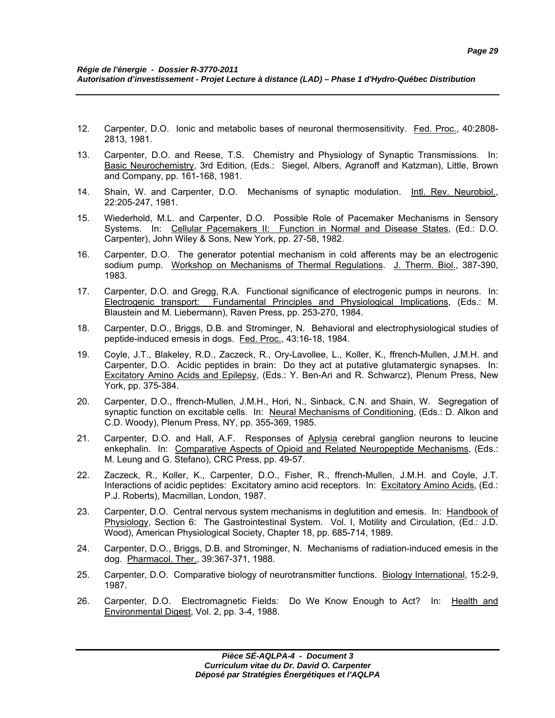- 12. Carpenter, D.O. Ionic and metabolic bases of neuronal thermosensitivity. Fed. Proc., 40:2808- 2813, 1981.
- 13. Carpenter, D.O. and Reese, T.S. Chemistry and Physiology of Synaptic Transmissions. In: Basic Neurochemistry, 3rd Edition, (Eds.: Siegel, Albers, Agranoff and Katzman), Little, Brown and Company, pp. 161-168, 1981.
- 14. Shain, W. and Carpenter, D.O. Mechanisms of synaptic modulation. Intl. Rev. Neurobiol., 22:205-247, 1981.
- 15. Wiederhold, M.L. and Carpenter, D.O. Possible Role of Pacemaker Mechanisms in Sensory Systems. In: Cellular Pacemakers II: Function in Normal and Disease States, (Ed.: D.O. Carpenter), John Wiley & Sons, New York, pp. 27-58, 1982.
- 16. Carpenter, D.O. The generator potential mechanism in cold afferents may be an electrogenic sodium pump. Workshop on Mechanisms of Thermal Regulations. J. Therm. Biol., 387-390, 1983.
- 17. Carpenter, D.O. and Gregg, R.A. Functional significance of electrogenic pumps in neurons. In: Electrogenic transport: Fundamental Principles and Physiological Implications, (Eds.: M. Blaustein and M. Liebermann), Raven Press, pp. 253-270, 1984.
- 18. Carpenter, D.O., Briggs, D.B. and Strominger, N. Behavioral and electrophysiological studies of peptide-induced emesis in dogs. Fed. Proc., 43:16-18, 1984.
- 19. Coyle, J.T., Blakeley, R.D., Zaczeck, R., Ory-Lavollee, L., Koller, K., ffrench-Mullen, J.M.H. and Carpenter, D.O. Acidic peptides in brain: Do they act at putative glutamatergic synapses. In: Excitatory Amino Acids and Epilepsy, (Eds.: Y. Ben-Ari and R. Schwarcz), Plenum Press, New York, pp. 375-384.
- 20. Carpenter, D.O., ffrench-Mullen, J.M.H., Hori, N., Sinback, C.N. and Shain, W. Segregation of synaptic function on excitable cells. In: Neural Mechanisms of Conditioning, (Eds.: D. Alkon and C.D. Woody), Plenum Press, NY, pp. 355-369, 1985.
- 21. Carpenter, D.O. and Hall, A.F. Responses of Aplysia cerebral ganglion neurons to leucine enkephalin. In: Comparative Aspects of Opioid and Related Neuropeptide Mechanisms, (Eds.: M. Leung and G. Stefano), CRC Press, pp. 49-57.
- 22. Zaczeck, R., Koller, K., Carpenter, D.O., Fisher, R., ffrench-Mullen, J.M.H. and Coyle, J.T. Interactions of acidic peptides: Excitatory amino acid receptors. In: Excitatory Amino Acids, (Ed.: P.J. Roberts), Macmillan, London, 1987.
- 23. Carpenter, D.O. Central nervous system mechanisms in deglutition and emesis. In: Handbook of Physiology, Section 6: The Gastrointestinal System. Vol. I, Motility and Circulation, (Ed.: J.D. Wood), American Physiological Society, Chapter 18, pp. 685-714, 1989.
- 24. Carpenter, D.O., Briggs, D.B. and Strominger, N. Mechanisms of radiation-induced emesis in the dog. Pharmacol. Ther., 39:367-371, 1988.
- 25. Carpenter, D.O. Comparative biology of neurotransmitter functions. Biology International, 15:2-9, 1987.
- 26. Carpenter, D.O. Electromagnetic Fields: Do We Know Enough to Act? In: Health and Environmental Digest, Vol. 2, pp. 3-4, 1988.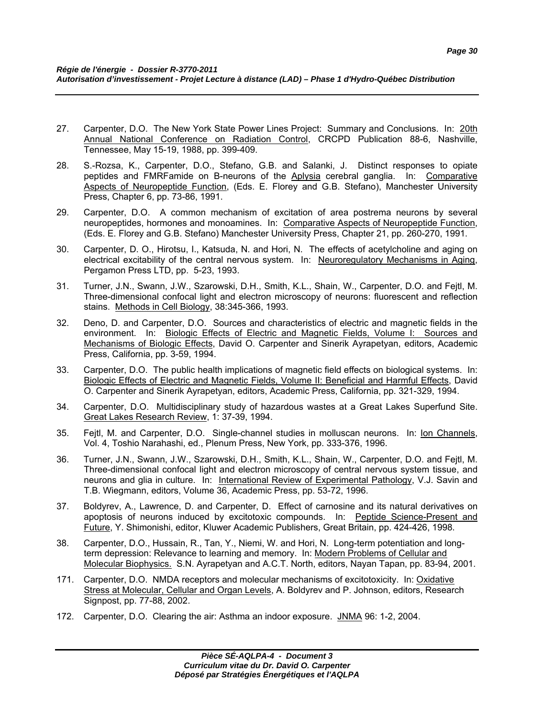- 27. Carpenter, D.O. The New York State Power Lines Project: Summary and Conclusions. In: 20th Annual National Conference on Radiation Control, CRCPD Publication 88-6, Nashville, Tennessee, May 15-19, 1988, pp. 399-409.
- 28. S.-Rozsa, K., Carpenter, D.O., Stefano, G.B. and Salanki, J. Distinct responses to opiate peptides and FMRFamide on B-neurons of the Aplysia cerebral ganglia. In: Comparative Aspects of Neuropeptide Function, (Eds. E. Florey and G.B. Stefano), Manchester University Press, Chapter 6, pp. 73-86, 1991.
- 29. Carpenter, D.O. A common mechanism of excitation of area postrema neurons by several neuropeptides, hormones and monoamines. In: Comparative Aspects of Neuropeptide Function, (Eds. E. Florey and G.B. Stefano) Manchester University Press, Chapter 21, pp. 260-270, 1991.
- 30. Carpenter, D. O., Hirotsu, I., Katsuda, N. and Hori, N. The effects of acetylcholine and aging on electrical excitability of the central nervous system. In: Neuroregulatory Mechanisms in Aging, Pergamon Press LTD, pp. 5-23, 1993.
- 31. Turner, J.N., Swann, J.W., Szarowski, D.H., Smith, K.L., Shain, W., Carpenter, D.O. and Fejtl, M. Three-dimensional confocal light and electron microscopy of neurons: fluorescent and reflection stains. Methods in Cell Biology, 38:345-366, 1993.
- 32. Deno, D. and Carpenter, D.O. Sources and characteristics of electric and magnetic fields in the environment. In: Biologic Effects of Electric and Magnetic Fields, Volume I: Sources and Mechanisms of Biologic Effects, David O. Carpenter and Sinerik Ayrapetyan, editors, Academic Press, California, pp. 3-59, 1994.
- 33. Carpenter, D.O. The public health implications of magnetic field effects on biological systems. In: Biologic Effects of Electric and Magnetic Fields, Volume II: Beneficial and Harmful Effects, David O. Carpenter and Sinerik Ayrapetyan, editors, Academic Press, California, pp. 321-329, 1994.
- 34. Carpenter, D.O. Multidisciplinary study of hazardous wastes at a Great Lakes Superfund Site. Great Lakes Research Review, 1: 37-39, 1994.
- 35. Fejtl, M. and Carpenter, D.O. Single-channel studies in molluscan neurons. In: Ion Channels, Vol. 4, Toshio Narahashi, ed., Plenum Press, New York, pp. 333-376, 1996.
- 36. Turner, J.N., Swann, J.W., Szarowski, D.H., Smith, K.L., Shain, W., Carpenter, D.O. and Fejtl, M. Three-dimensional confocal light and electron microscopy of central nervous system tissue, and neurons and glia in culture. In: International Review of Experimental Pathology, V.J. Savin and T.B. Wiegmann, editors, Volume 36, Academic Press, pp. 53-72, 1996.
- 37. Boldyrev, A., Lawrence, D. and Carpenter, D. Effect of carnosine and its natural derivatives on apoptosis of neurons induced by excitotoxic compounds. In: Peptide Science-Present and Future, Y. Shimonishi, editor, Kluwer Academic Publishers, Great Britain, pp. 424-426, 1998.
- 38. Carpenter, D.O., Hussain, R., Tan, Y., Niemi, W. and Hori, N. Long-term potentiation and longterm depression: Relevance to learning and memory. In: Modern Problems of Cellular and Molecular Biophysics. S.N. Ayrapetyan and A.C.T. North, editors, Nayan Tapan, pp. 83-94, 2001.
- 171. Carpenter, D.O. NMDA receptors and molecular mechanisms of excitotoxicity. In: Oxidative Stress at Molecular, Cellular and Organ Levels, A. Boldyrev and P. Johnson, editors, Research Signpost, pp. 77-88, 2002.
- 172. Carpenter, D.O. Clearing the air: Asthma an indoor exposure. JNMA 96: 1-2, 2004.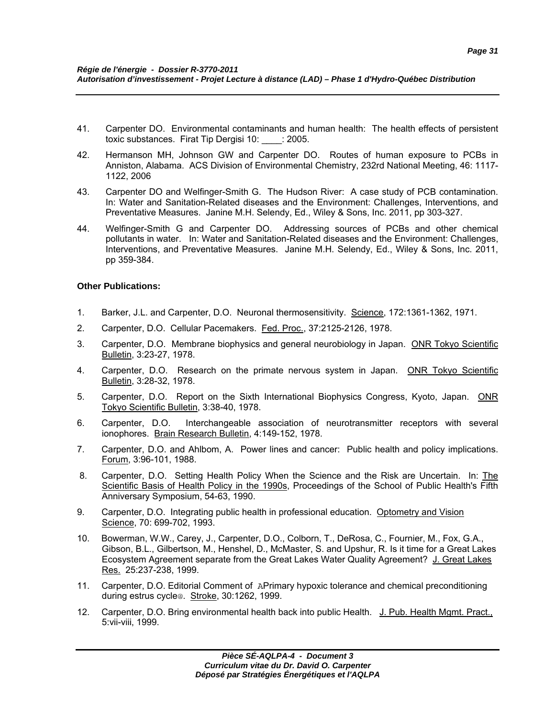- 41. Carpenter DO. Environmental contaminants and human health: The health effects of persistent toxic substances. Firat Tip Dergisi 10: \_\_\_\_: 2005.
- 42. Hermanson MH, Johnson GW and Carpenter DO. Routes of human exposure to PCBs in Anniston, Alabama. ACS Division of Environmental Chemistry, 232rd National Meeting, 46: 1117- 1122, 2006
- 43. Carpenter DO and Welfinger-Smith G. The Hudson River: A case study of PCB contamination. In: Water and Sanitation-Related diseases and the Environment: Challenges, Interventions, and Preventative Measures. Janine M.H. Selendy, Ed., Wiley & Sons, Inc. 2011, pp 303-327.
- 44. Welfinger-Smith G and Carpenter DO. Addressing sources of PCBs and other chemical pollutants in water. In: Water and Sanitation-Related diseases and the Environment: Challenges, Interventions, and Preventative Measures. Janine M.H. Selendy, Ed., Wiley & Sons, Inc. 2011, pp 359-384.

### **Other Publications:**

- 1. Barker, J.L. and Carpenter, D.O. Neuronal thermosensitivity. Science, 172:1361-1362, 1971.
- 2. Carpenter, D.O. Cellular Pacemakers. Fed. Proc., 37:2125-2126, 1978.
- 3. Carpenter, D.O. Membrane biophysics and general neurobiology in Japan. ONR Tokyo Scientific Bulletin, 3:23-27, 1978.
- 4. Carpenter, D.O. Research on the primate nervous system in Japan. ONR Tokyo Scientific Bulletin, 3:28-32, 1978.
- 5. Carpenter, D.O. Report on the Sixth International Biophysics Congress, Kyoto, Japan. ONR Tokyo Scientific Bulletin, 3:38-40, 1978.
- 6. Carpenter, D.O. Interchangeable association of neurotransmitter receptors with several ionophores. Brain Research Bulletin, 4:149-152, 1978.
- 7. Carpenter, D.O. and Ahlbom, A. Power lines and cancer: Public health and policy implications. Forum, 3:96-101, 1988.
- 8. Carpenter, D.O. Setting Health Policy When the Science and the Risk are Uncertain. In: The Scientific Basis of Health Policy in the 1990s, Proceedings of the School of Public Health's Fifth Anniversary Symposium, 54-63, 1990.
- 9. Carpenter, D.O. Integrating public health in professional education. Optometry and Vision Science, 70: 699-702, 1993.
- 10. Bowerman, W.W., Carey, J., Carpenter, D.O., Colborn, T., DeRosa, C., Fournier, M., Fox, G.A., Gibson, B.L., Gilbertson, M., Henshel, D., McMaster, S. and Upshur, R. Is it time for a Great Lakes Ecosystem Agreement separate from the Great Lakes Water Quality Agreement? J. Great Lakes Res. 25:237-238, 1999.
- 11. Carpenter, D.O. Editorial Comment of APrimary hypoxic tolerance and chemical preconditioning during estrus cycle@. Stroke, 30:1262, 1999.
- 12. Carpenter, D.O. Bring environmental health back into public Health. J. Pub. Health Mgmt. Pract., 5:vii-viii, 1999.